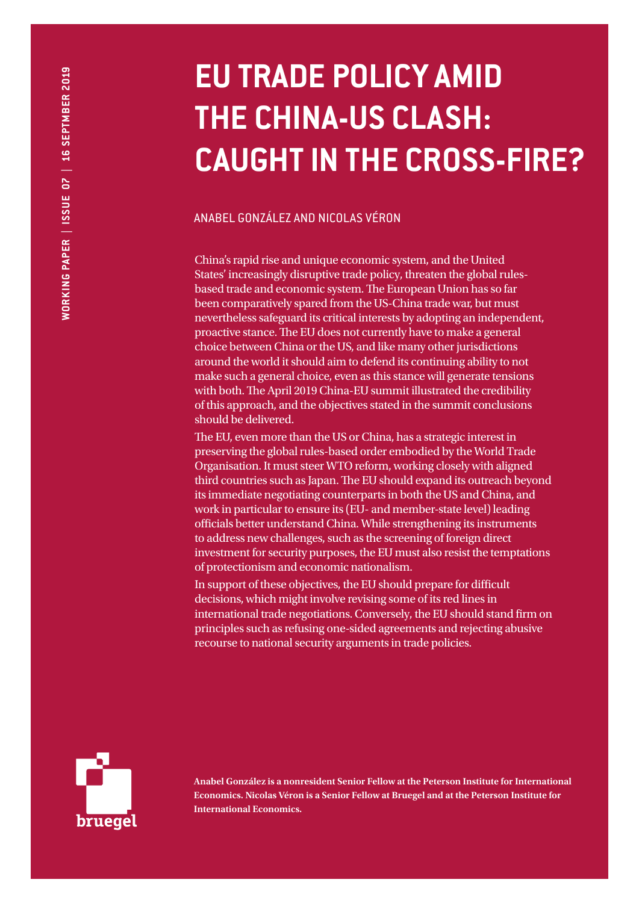# **EU TRADE POLICY AMID THE CHINA-US CLASH: CAUGHT IN THE CROSS-FIRE?**

# ANABEL GONZÁLEZ AND NICOLAS VÉRON

China's rapid rise and unique economic system, and the United States' increasingly disruptive trade policy, threaten the global rulesbased trade and economic system. The European Union has so far been comparatively spared from the US-China trade war, but must nevertheless safeguard its critical interests by adopting an independent, proactive stance. The EU does not currently have to make a general choice between China or the US, and like many other jurisdictions around the world it should aim to defend its continuing ability to not make such a general choice, even as this stance will generate tensions with both. The April 2019 China-EU summit illustrated the credibility of this approach, and the objectives stated in the summit conclusions should be delivered.

The EU, even more than the US or China, has a strategic interest in preserving the global rules-based order embodied by the World Trade Organisation. It must steer WTO reform, working closely with aligned third countries such as Japan. The EU should expand its outreach beyond its immediate negotiating counterparts in both the US and China, and work in particular to ensure its (EU- and member-state level) leading officials better understand China. While strengthening its instruments to address new challenges, such as the screening of foreign direct investment for security purposes, the EU must also resist the temptations of protectionism and economic nationalism.

In support of these objectives, the EU should prepare for difficult decisions, which might involve revising some of its red lines in international trade negotiations. Conversely, the EU should stand firm on principles such as refusing one-sided agreements and rejecting abusive recourse to national security arguments in trade policies.



**Anabel González is a nonresident Senior Fellow at the Peterson Institute for International Economics. Nicolas Véron is a Senior Fellow at Bruegel and at the Peterson Institute for International Economics.**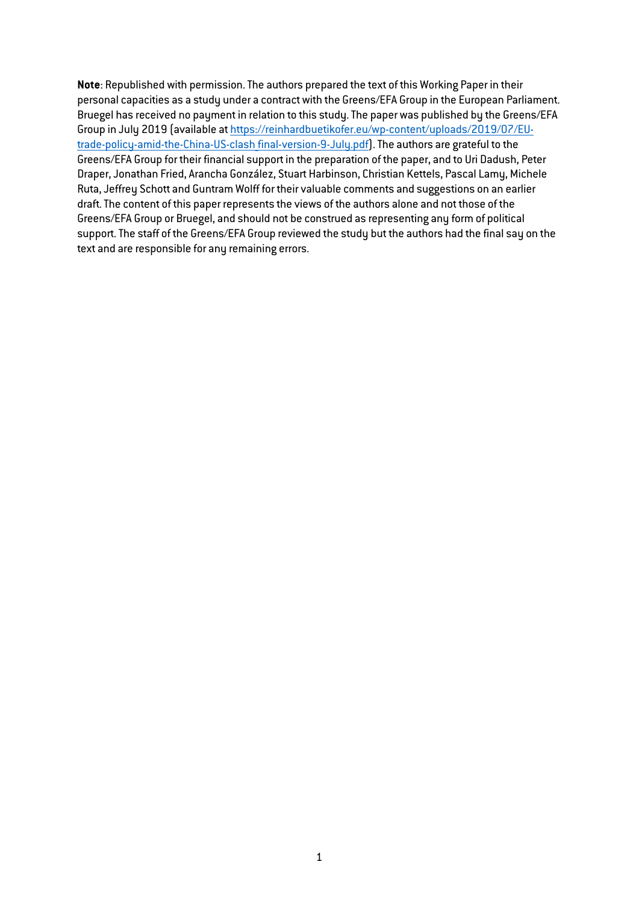**Note**: Republished with permission. The authors prepared the text of this Working Paper in their personal capacities as a study under a contract with the Greens/EFA Group in the European Parliament. Bruegel has received no payment in relation to this study. The paper was published by the Greens/EFA Group in July 2019 (available at [https://reinhardbuetikofer.eu/wp-content/uploads/2019/07/EU](https://reinhardbuetikofer.eu/wp-content/uploads/2019/07/EU-trade-policy-amid-the-China-US-clash_final-version-9-July.pdf)trade-policy-amid-the-China-US-clash final-version-9-July.pdf). The authors are grateful to the Greens/EFA Group for their financial support in the preparation of the paper, and to Uri Dadush, Peter Draper, Jonathan Fried, Arancha González, Stuart Harbinson, Christian Kettels, Pascal Lamy, Michele Ruta, Jeffrey Schott and Guntram Wolff for their valuable comments and suggestions on an earlier draft. The content of this paper represents the views of the authors alone and not those of the Greens/EFA Group or Bruegel, and should not be construed as representing any form of political support. The staff of the Greens/EFA Group reviewed the study but the authors had the final say on the text and are responsible for any remaining errors.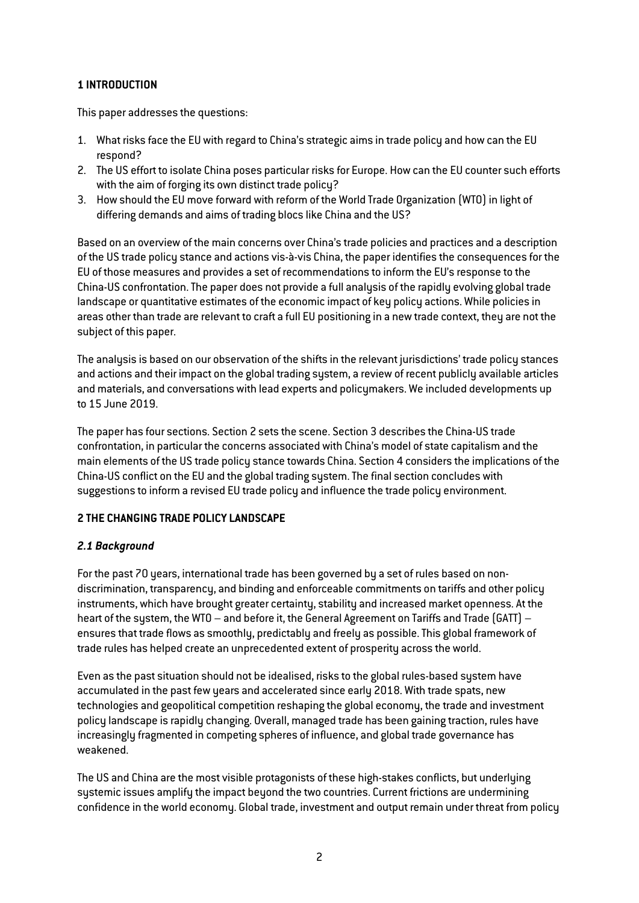# **1 INTRODUCTION**

This paper addresses the questions:

- 1. What risks face the EU with regard to China's strategic aims in trade policy and how can the EU respond?
- 2. The US effort to isolate China poses particular risks for Europe. How can the EU counter such efforts with the aim of forging its own distinct trade policy?
- 3. How should the EU move forward with reform of the World Trade Organization (WTO) in light of differing demands and aims of trading blocs like China and the US?

Based on an overview of the main concerns over China's trade policies and practices and a description of the US trade policy stance and actions vis-à-vis China, the paper identifies the consequences for the EU of those measures and provides a set of recommendations to inform the EU's response to the China-US confrontation. The paper does not provide a full analysis of the rapidly evolving global trade landscape or quantitative estimates of the economic impact of key policy actions. While policies in areas other than trade are relevant to craft a full EU positioning in a new trade context, they are not the subject of this paper.

The analysis is based on our observation of the shifts in the relevant jurisdictions' trade policy stances and actions and their impact on the global trading system, a review of recent publicly available articles and materials, and conversations with lead experts and policymakers. We included developments up to 15 June 2019.

The paper has four sections. Section 2 sets the scene. Section 3 describes the China-US trade confrontation, in particular the concerns associated with China's model of state capitalism and the main elements of the US trade policy stance towards China. Section 4 considers the implications of the China-US conflict on the EU and the global trading system. The final section concludes with suggestions to inform a revised EU trade policy and influence the trade policy environment.

## **2 THE CHANGING TRADE POLICY LANDSCAPE**

## *2.1 Background*

For the past 70 years, international trade has been governed by a set of rules based on nondiscrimination, transparency, and binding and enforceable commitments on tariffs and other policy instruments, which have brought greater certainty, stability and increased market openness. At the heart of the system, the WTO – and before it, the General Agreement on Tariffs and Trade (GATT) – ensures that trade flows as smoothly, predictably and freely as possible. This global framework of trade rules has helped create an unprecedented extent of prosperity across the world.

Even as the past situation should not be idealised, risks to the global rules-based system have accumulated in the past few years and accelerated since early 2018. With trade spats, new technologies and geopolitical competition reshaping the global economy, the trade and investment policy landscape is rapidly changing. Overall, managed trade has been gaining traction, rules have increasingly fragmented in competing spheres of influence, and global trade governance has weakened.

The US and China are the most visible protagonists of these high-stakes conflicts, but underlying systemic issues amplify the impact beyond the two countries. Current frictions are undermining confidence in the world economy. Global trade, investment and output remain under threat from policy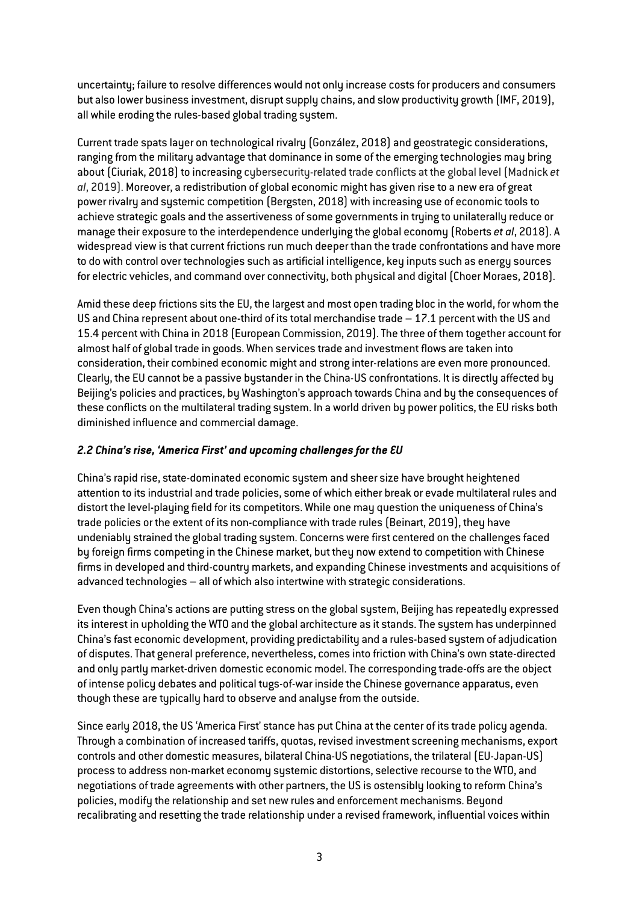uncertainty; failure to resolve differences would not only increase costs for producers and consumers but also lower business investment, disrupt supply chains, and slow productivity growth (IMF, 2019), all while eroding the rules-based global trading system.

Current trade spats layer on technological rivalry (González, 2018) and geostrategic considerations, ranging from the military advantage that dominance in some of the emerging technologies may bring about (Ciuriak, 2018) to increasing cybersecurity-related trade conflicts at the global level (Madnick *et al*, 2019). Moreover, a redistribution of global economic might has given rise to a new era of great power rivalry and systemic competition (Bergsten, 2018) with increasing use of economic tools to achieve strategic goals and the assertiveness of some governments in trying to unilaterally reduce or manage their exposure to the interdependence underlying the global economy (Roberts *et al*, 2018). A widespread view is that current frictions run much deeper than the trade confrontations and have more to do with control over technologies such as artificial intelligence, key inputs such as energy sources for electric vehicles, and command over connectivity, both physical and digital (Choer Moraes, 2018).

Amid these deep frictions sits the EU, the largest and most open trading bloc in the world, for whom the US and China represent about one-third of its total merchandise trade – 17.1 percent with the US and 15.4 percent with China in 2018 (European Commission, 2019). The three of them together account for almost half of global trade in goods. When services trade and investment flows are taken into consideration, their combined economic might and strong inter-relations are even more pronounced. Clearly, the EU cannot be a passive bystander in the China-US confrontations. It is directly affected by Beijing's policies and practices, by Washington's approach towards China and by the consequences of these conflicts on the multilateral trading system. In a world driven by power politics, the EU risks both diminished influence and commercial damage.

# *2.2 China's rise, 'America First' and upcoming challenges for the EU*

China's rapid rise, state-dominated economic system and sheer size have brought heightened attention to its industrial and trade policies, some of which either break or evade multilateral rules and distort the level-playing field for its competitors. While one may question the uniqueness of China's trade policies or the extent of its non-compliance with trade rules (Beinart, 2019), they have undeniably strained the global trading system. Concerns were first centered on the challenges faced by foreign firms competing in the Chinese market, but they now extend to competition with Chinese firms in developed and third-country markets, and expanding Chinese investments and acquisitions of advanced technologies – all of which also intertwine with strategic considerations.

Even though China's actions are putting stress on the global system, Beijing has repeatedly expressed its interest in upholding the WTO and the global architecture as it stands. The system has underpinned China's fast economic development, providing predictability and a rules-based system of adjudication of disputes. That general preference, nevertheless, comes into friction with China's own state-directed and only partly market-driven domestic economic model. The corresponding trade-offs are the object of intense policy debates and political tugs-of-war inside the Chinese governance apparatus, even though these are typically hard to observe and analyse from the outside.

Since early 2018, the US 'America First' stance has put China at the center of its trade policy agenda. Through a combination of increased tariffs, quotas, revised investment screening mechanisms, export controls and other domestic measures, bilateral China-US negotiations, the trilateral (EU-Japan-US) process to address non-market economy systemic distortions, selective recourse to the WTO, and negotiations of trade agreements with other partners, the US is ostensibly looking to reform China's policies, modify the relationship and set new rules and enforcement mechanisms. Beyond recalibrating and resetting the trade relationship under a revised framework, influential voices within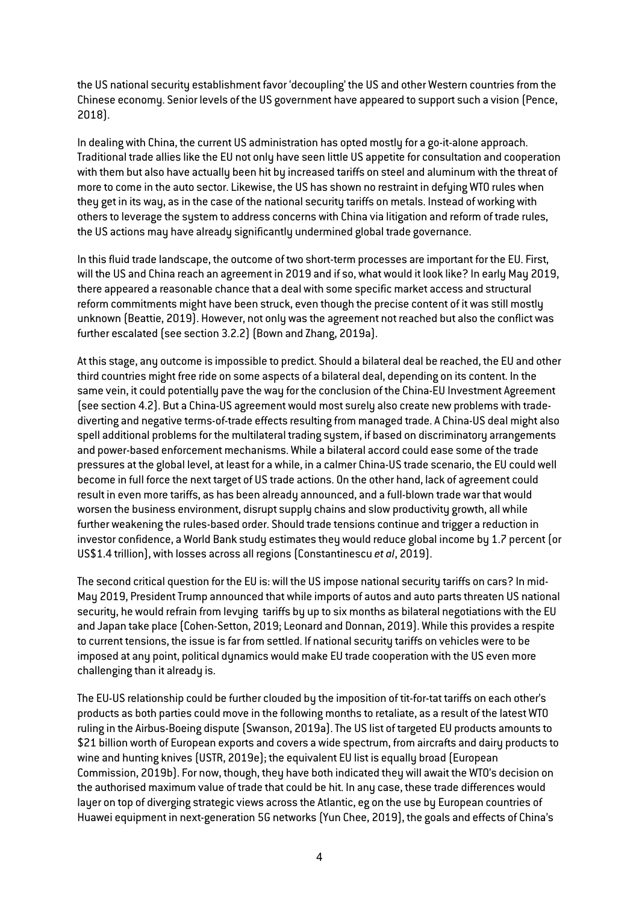the US national security establishment favor 'decoupling' the US and other Western countries from the Chinese economy. Senior levels of the US government have appeared to support such a vision (Pence, 2018).

In dealing with China, the current US administration has opted mostly for a go-it-alone approach. Traditional trade allies like the EU not only have seen little US appetite for consultation and cooperation with them but also have actually been hit by increased tariffs on steel and aluminum with the threat of more to come in the auto sector. Likewise, the US has shown no restraint in defying WTO rules when they get in its way, as in the case of the national security tariffs on metals. Instead of working with others to leverage the system to address concerns with China via litigation and reform of trade rules, the US actions may have already significantly undermined global trade governance.

In this fluid trade landscape, the outcome of two short-term processes are important for the EU. First, will the US and China reach an agreement in 2019 and if so, what would it look like? In early May 2019, there appeared a reasonable chance that a deal with some specific market access and structural reform commitments might have been struck, even though the precise content of it was still mostly unknown (Beattie, 2019). However, not only was the agreement not reached but also the conflict was further escalated (see section 3.2.2) (Bown and Zhang, 2019a).

At this stage, any outcome is impossible to predict. Should a bilateral deal be reached, the EU and other third countries might free ride on some aspects of a bilateral deal, depending on its content. In the same vein, it could potentially pave the way for the conclusion of the China-EU Investment Agreement (see section 4.2). But a China-US agreement would most surely also create new problems with tradediverting and negative terms-of-trade effects resulting from managed trade. A China-US deal might also spell additional problems for the multilateral trading system, if based on discriminatory arrangements and power-based enforcement mechanisms. While a bilateral accord could ease some of the trade pressures at the global level, at least for a while, in a calmer China-US trade scenario, the EU could well become in full force the next target of US trade actions. On the other hand, lack of agreement could result in even more tariffs, as has been already announced, and a full-blown trade war that would worsen the business environment, disrupt supply chains and slow productivity growth, all while further weakening the rules-based order. Should trade tensions continue and trigger a reduction in investor confidence, a World Bank study estimates they would reduce global income by 1.7 percent (or US\$1.4 trillion), with losses across all regions (Constantinescu *et al*, 2019).

The second critical question for the EU is: will the US impose national security tariffs on cars? In mid-May 2019, President Trump announced that while imports of autos and auto parts threaten US national security, he would refrain from levying tariffs by up to six months as bilateral negotiations with the EU and Japan take place (Cohen-Setton, 2019; Leonard and Donnan, 2019). While this provides a respite to current tensions, the issue is far from settled. If national security tariffs on vehicles were to be imposed at any point, political dynamics would make EU trade cooperation with the US even more challenging than it already is.

The EU-US relationship could be further clouded by the imposition of tit-for-tat tariffs on each other's products as both parties could move in the following months to retaliate, as a result of the latest WTO ruling in the Airbus-Boeing dispute (Swanson, 2019a). The US list of targeted EU products amounts to \$21 billion worth of European exports and covers a wide spectrum, from aircrafts and dairy products to wine and hunting knives (USTR, 2019e); the equivalent EU list is equally broad (European Commission, 2019b). For now, though, they have both indicated they will await the WTO's decision on the authorised maximum value of trade that could be hit. In any case, these trade differences would layer on top of diverging strategic views across the Atlantic, eg on the use by European countries of Huawei equipment in next-generation 5G networks (Yun Chee, 2019), the goals and effects of China's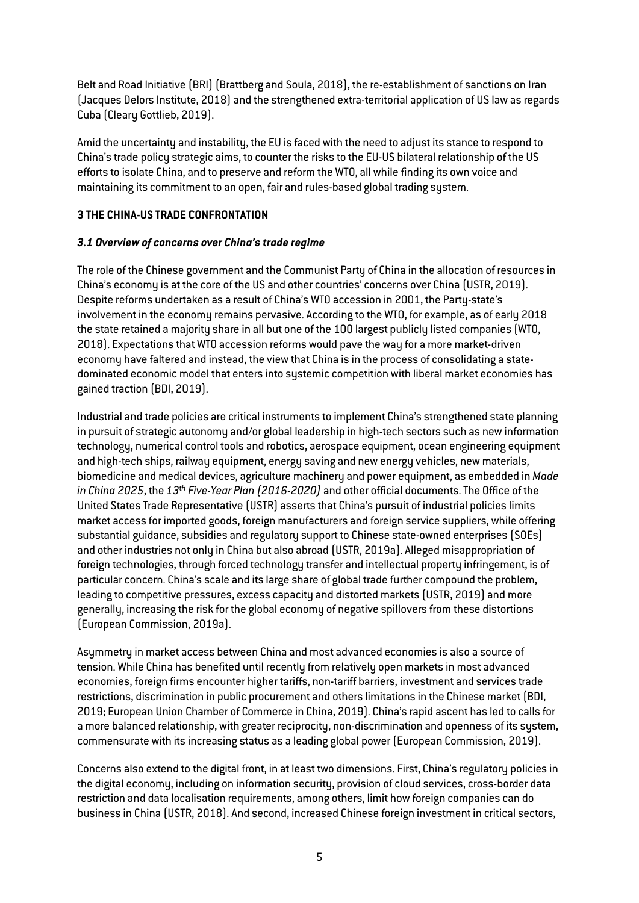Belt and Road Initiative (BRI) (Brattberg and Soula, 2018), the re-establishment of sanctions on Iran (Jacques Delors Institute, 2018) and the strengthened extra-territorial application of US law as regards Cuba (Cleary Gottlieb, 2019).

Amid the uncertainty and instability, the EU is faced with the need to adjust its stance to respond to China's trade policy strategic aims, to counter the risks to the EU-US bilateral relationship of the US efforts to isolate China, and to preserve and reform the WTO, all while finding its own voice and maintaining its commitment to an open, fair and rules-based global trading system.

# **3 THE CHINA-US TRADE CONFRONTATION**

# *3.1 Overview of concerns over China's trade regime*

The role of the Chinese government and the Communist Party of China in the allocation of resources in China's economy is at the core of the US and other countries' concerns over China (USTR, 2019). Despite reforms undertaken as a result of China's WTO accession in 2001, the Party-state's involvement in the economy remains pervasive. According to the WTO, for example, as of early 2018 the state retained a majority share in all but one of the 100 largest publicly listed companies (WTO, 2018). Expectations that WTO accession reforms would pave the way for a more market-driven economy have faltered and instead, the view that China is in the process of consolidating a statedominated economic model that enters into systemic competition with liberal market economies has gained traction (BDI, 2019).

Industrial and trade policies are critical instruments to implement China's strengthened state planning in pursuit of strategic autonomy and/or global leadership in high-tech sectors such as new information technology, numerical control tools and robotics, aerospace equipment, ocean engineering equipment and high-tech ships, railway equipment, energy saving and new energy vehicles, new materials, biomedicine and medical devices, agriculture machinery and power equipment, as embedded in *Made in China 2025*, the *13th Five-Year Plan (2016-2020)* and other official documents. The Office of the United States Trade Representative (USTR) asserts that China's pursuit of industrial policies limits market access for imported goods, foreign manufacturers and foreign service suppliers, while offering substantial guidance, subsidies and regulatory support to Chinese state-owned enterprises (SOEs) and other industries not only in China but also abroad (USTR, 2019a). Alleged misappropriation of foreign technologies, through forced technology transfer and intellectual property infringement, is of particular concern. China's scale and its large share of global trade further compound the problem, leading to competitive pressures, excess capacity and distorted markets (USTR, 2019) and more generally, increasing the risk for the global economy of negative spillovers from these distortions (European Commission, 2019a).

Asymmetry in market access between China and most advanced economies is also a source of tension. While China has benefited until recently from relatively open markets in most advanced economies, foreign firms encounter higher tariffs, non-tariff barriers, investment and services trade restrictions, discrimination in public procurement and others limitations in the Chinese market (BDI, 2019; European Union Chamber of Commerce in China, 2019). China's rapid ascent has led to calls for a more balanced relationship, with greater reciprocity, non-discrimination and openness of its system, commensurate with its increasing status as a leading global power (European Commission, 2019).

Concerns also extend to the digital front, in at least two dimensions. First, China's regulatory policies in the digital economy, including on information security, provision of cloud services, cross-border data restriction and data localisation requirements, among others, limit how foreign companies can do business in China (USTR, 2018). And second, increased Chinese foreign investment in critical sectors,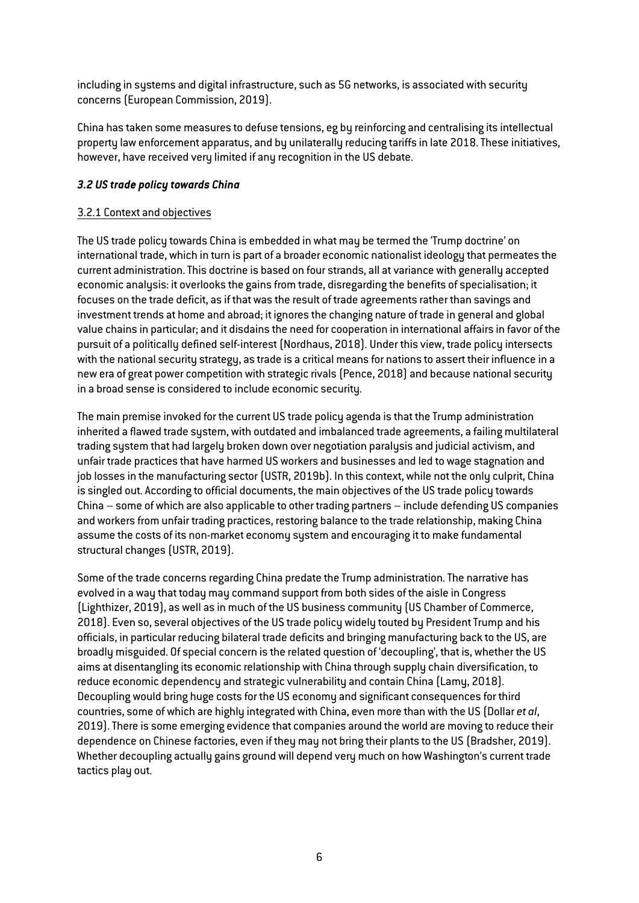including in systems and digital infrastructure, such as 5G networks, is associated with security concerns (European Commission, 2019).

China has taken some measures to defuse tensions, eg by reinforcing and centralising its intellectual property law enforcement apparatus, and by unilaterally reducing tariffs in late 2018. These initiatives, however, have received very limited if any recognition in the US debate.

## *3.2 US trade policy towards China*

## 3.2.1 Context and objectives

The US trade policy towards China is embedded in what may be termed the 'Trump doctrine' on international trade, which in turn is part of a broader economic nationalist ideology that permeates the current administration. This doctrine is based on four strands, all at variance with generally accepted economic analysis: it overlooks the gains from trade, disregarding the benefits of specialisation; it focuses on the trade deficit, as if that was the result of trade agreements rather than savings and investment trends at home and abroad; it ignores the changing nature of trade in general and global value chains in particular; and it disdains the need for cooperation in international affairs in favor of the pursuit of a politically defined self-interest (Nordhaus, 2018). Under this view, trade policy intersects with the national security strategy, as trade is a critical means for nations to assert their influence in a new era of great power competition with strategic rivals (Pence, 2018) and because national security in a broad sense is considered to include economic security.

The main premise invoked for the current US trade policy agenda is that the Trump administration inherited a flawed trade system, with outdated and imbalanced trade agreements, a failing multilateral trading system that had largely broken down over negotiation paralysis and judicial activism, and unfair trade practices that have harmed US workers and businesses and led to wage stagnation and job losses in the manufacturing sector (USTR, 2019b). In this context, while not the only culprit, China is singled out. According to official documents, the main objectives of the US trade policy towards China – some of which are also applicable to other trading partners – include defending US companies and workers from unfair trading practices, restoring balance to the trade relationship, making China assume the costs of its non-market economy system and encouraging it to make fundamental structural changes (USTR, 2019).

Some of the trade concerns regarding China predate the Trump administration. The narrative has evolved in a way that today may command support from both sides of the aisle in Congress (Lighthizer, 2019), as well as in much of the US business community (US Chamber of Commerce, 2018). Even so, several objectives of the US trade policy widely touted by President Trump and his officials, in particular reducing bilateral trade deficits and bringing manufacturing back to the US, are broadly misguided. Of special concern is the related question of 'decoupling', that is, whether the US aims at disentangling its economic relationship with China through supply chain diversification, to reduce economic dependency and strategic vulnerability and contain China (Lamy, 2018). Decoupling would bring huge costs for the US economy and significant consequences for third countries, some of which are highly integrated with China, even more than with the US (Dollar *et al*, 2019). There is some emerging evidence that companies around the world are moving to reduce their dependence on Chinese factories, even if they may not bring their plants to the US (Bradsher, 2019). Whether decoupling actually gains ground will depend very much on how Washington's current trade tactics play out.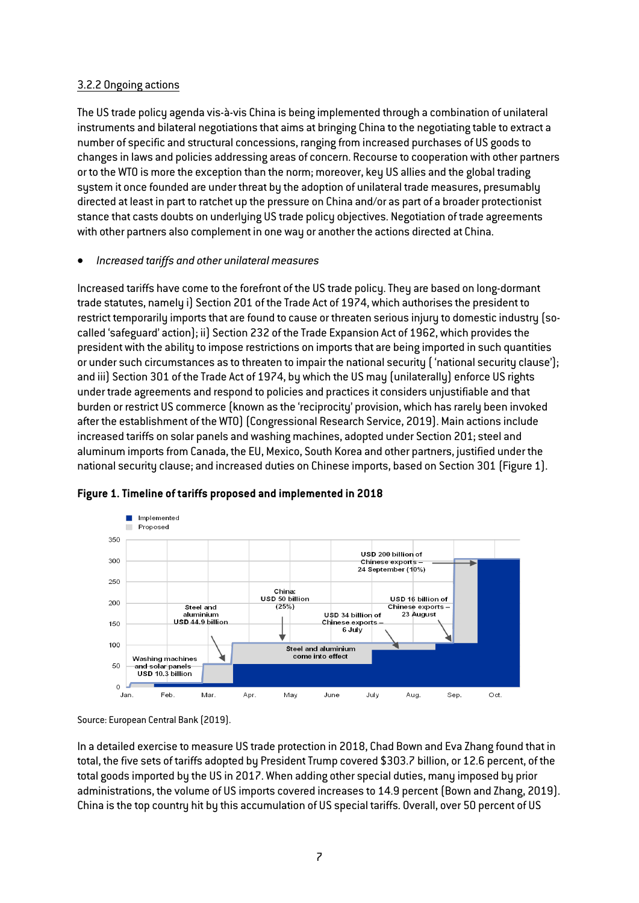## 3.2.2 Ongoing actions

The US trade policy agenda vis-à-vis China is being implemented through a combination of unilateral instruments and bilateral negotiations that aims at bringing China to the negotiating table to extract a number of specific and structural concessions, ranging from increased purchases of US goods to changes in laws and policies addressing areas of concern. Recourse to cooperation with other partners or to the WTO is more the exception than the norm; moreover, key US allies and the global trading system it once founded are under threat by the adoption of unilateral trade measures, presumably directed at least in part to ratchet up the pressure on China and/or as part of a broader protectionist stance that casts doubts on underlying US trade policy objectives. Negotiation of trade agreements with other partners also complement in one way or another the actions directed at China.

# • *Increased tariffs and other unilateral measures*

Increased tariffs have come to the forefront of the US trade policy. They are based on long-dormant trade statutes, namely i) Section 201 of the Trade Act of 1974, which authorises the president to restrict temporarily imports that are found to cause or threaten serious injury to domestic industry (socalled 'safeguard' action); ii) Section 232 of the Trade Expansion Act of 1962, which provides the president with the ability to impose restrictions on imports that are being imported in such quantities or under such circumstances as to threaten to impair the national security ( 'national security clause'); and iii) Section 301 of the Trade Act of 1974, by which the US may (unilaterally) enforce US rights under trade agreements and respond to policies and practices it considers unjustifiable and that burden or restrict US commerce (known as the 'reciprocity' provision, which has rarely been invoked after the establishment of the WTO) (Congressional Research Service, 2019). Main actions include increased tariffs on solar panels and washing machines, adopted under Section 201; steel and aluminum imports from Canada, the EU, Mexico, South Korea and other partners, justified under the national security clause; and increased duties on Chinese imports, based on Section 301 (Figure 1).



## **Figure 1. Timeline of tariffs proposed and implemented in 2018**

In a detailed exercise to measure US trade protection in 2018, Chad Bown and Eva Zhang found that in total, the five sets of tariffs adopted by President Trump covered \$303.7 billion, or 12.6 percent, of the total goods imported by the US in 2017. When adding other special duties, many imposed by prior administrations, the volume of US imports covered increases to 14.9 percent (Bown and Zhang, 2019). China is the top country hit by this accumulation of US special tariffs. Overall, over 50 percent of US

Source: European Central Bank (2019).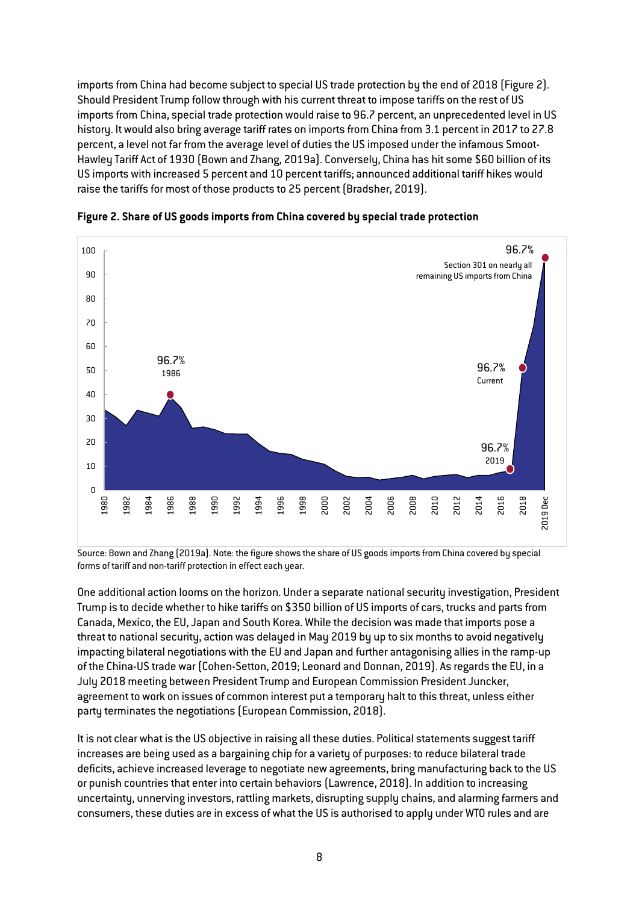imports from China had become subject to special US trade protection by the end of 2018 (Figure 2). Should President Trump follow through with his current threat to impose tariffs on the rest of US imports from China, special trade protection would raise to 96.7 percent, an unprecedented level in US history. It would also bring average tariff rates on imports from China from 3.1 percent in 2017 to 27.8 percent, a level not far from the average level of duties the US imposed under the infamous Smoot-Hawley Tariff Act of 1930 (Bown and Zhang, 2019a). Conversely, China has hit some \$60 billion of its US imports with increased 5 percent and 10 percent tariffs; announced additional tariff hikes would raise the tariffs for most of those products to 25 percent (Bradsher, 2019).



**Figure 2. Share of US goods imports from China covered by special trade protection**

Source: Bown and Zhang (2019a). Note: the figure shows the share of US goods imports from China covered by special forms of tariff and non-tariff protection in effect each year.

One additional action looms on the horizon. Under a separate national security investigation, President Trump is to decide whether to hike tariffs on \$350 billion of US imports of cars, trucks and parts from Canada, Mexico, the EU, Japan and South Korea. While the decision was made that imports pose a threat to national security, action was delayed in May 2019 by up to six months to avoid negatively impacting bilateral negotiations with the EU and Japan and further antagonising allies in the ramp-up of the China-US trade war (Cohen-Setton, 2019; Leonard and Donnan, 2019). As regards the EU, in a July 2018 meeting between President Trump and European Commission President Juncker, agreement to work on issues of common interest put a temporary halt to this threat, unless either party terminates the negotiations (European Commission, 2018).

It is not clear what is the US objective in raising all these duties. Political statements suggest tariff increases are being used as a bargaining chip for a variety of purposes: to reduce bilateral trade deficits, achieve increased leverage to negotiate new agreements, bring manufacturing back to the US or punish countries that enter into certain behaviors (Lawrence, 2018). In addition to increasing uncertainty, unnerving investors, rattling markets, disrupting supply chains, and alarming farmers and consumers, these duties are in excess of what the US is authorised to apply under WTO rules and are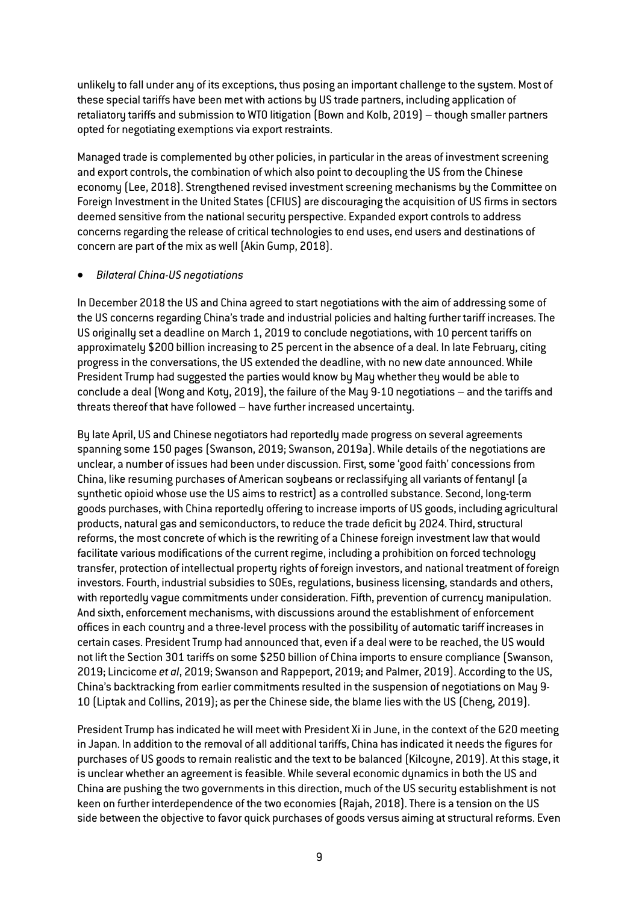unlikely to fall under any of its exceptions, thus posing an important challenge to the system. Most of these special tariffs have been met with actions by US trade partners, including application of retaliatory tariffs and submission to WTO litigation (Bown and Kolb, 2019) – though smaller partners opted for negotiating exemptions via export restraints.

Managed trade is complemented by other policies, in particular in the areas of investment screening and export controls, the combination of which also point to decoupling the US from the Chinese economy (Lee, 2018). Strengthened revised investment screening mechanisms by the Committee on Foreign Investment in the United States (CFIUS) are discouraging the acquisition of US firms in sectors deemed sensitive from the national security perspective. Expanded export controls to address concerns regarding the release of critical technologies to end uses, end users and destinations of concern are part of the mix as well (Akin Gump, 2018).

#### • *Bilateral China-US negotiations*

In December 2018 the US and China agreed to start negotiations with the aim of addressing some of the US concerns regarding China's trade and industrial policies and halting further tariff increases. The US originally set a deadline on March 1, 2019 to conclude negotiations, with 10 percent tariffs on approximately \$200 billion increasing to 25 percent in the absence of a deal. In late February, citing progress in the conversations, the US extended the deadline, with no new date announced. While President Trump had suggested the parties would know by May whether they would be able to conclude a deal (Wong and Koty, 2019), the failure of the May 9-10 negotiations – and the tariffs and threats thereof that have followed – have further increased uncertainty.

By late April, US and Chinese negotiators had reportedly made progress on several agreements spanning some 150 pages (Swanson, 2019; Swanson, 2019a). While details of the negotiations are unclear, a number of issues had been under discussion. First, some 'good faith' concessions from China, like resuming purchases of American soybeans or reclassifying all variants of fentanyl (a synthetic opioid whose use the US aims to restrict) as a controlled substance. Second, long-term goods purchases, with China reportedly offering to increase imports of US goods, including agricultural products, natural gas and semiconductors, to reduce the trade deficit by 2024. Third, structural reforms, the most concrete of which is the rewriting of a Chinese foreign investment law that would facilitate various modifications of the current regime, including a prohibition on forced technology transfer, protection of intellectual property rights of foreign investors, and national treatment of foreign investors. Fourth, industrial subsidies to SOEs, regulations, business licensing, standards and others, with reportedly vague commitments under consideration. Fifth, prevention of currency manipulation. And sixth, enforcement mechanisms, with discussions around the establishment of enforcement offices in each country and a three-level process with the possibility of automatic tariff increases in certain cases. President Trump had announced that, even if a deal were to be reached, the US would not lift the Section 301 tariffs on some \$250 billion of China imports to ensure compliance (Swanson, 2019; Lincicome *et al*, 2019; Swanson and Rappeport, 2019; and Palmer, 2019). According to the US, China's backtracking from earlier commitments resulted in the suspension of negotiations on May 9- 10 (Liptak and Collins, 2019); as per the Chinese side, the blame lies with the US (Cheng, 2019).

President Trump has indicated he will meet with President Xi in June, in the context of the G20 meeting in Japan. In addition to the removal of all additional tariffs, China has indicated it needs the figures for purchases of US goods to remain realistic and the text to be balanced (Kilcoyne, 2019). At this stage, it is unclear whether an agreement is feasible. While several economic dynamics in both the US and China are pushing the two governments in this direction, much of the US security establishment is not keen on further interdependence of the two economies (Rajah, 2018). There is a tension on the US side between the objective to favor quick purchases of goods versus aiming at structural reforms. Even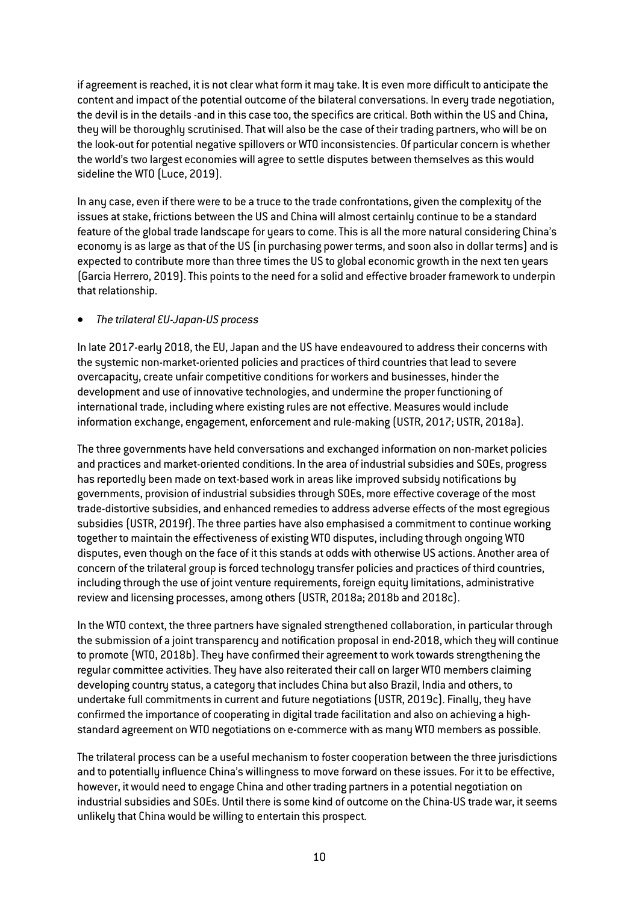if agreement is reached, it is not clear what form it may take. It is even more difficult to anticipate the content and impact of the potential outcome of the bilateral conversations. In every trade negotiation, the devil is in the details -and in this case too, the specifics are critical. Both within the US and China, they will be thoroughly scrutinised. That will also be the case of their trading partners, who will be on the look-out for potential negative spillovers or WTO inconsistencies. Of particular concern is whether the world's two largest economies will agree to settle disputes between themselves as this would sideline the WTO (Luce, 2019).

In any case, even if there were to be a truce to the trade confrontations, given the complexity of the issues at stake, frictions between the US and China will almost certainly continue to be a standard feature of the global trade landscape for years to come. This is all the more natural considering China's economy is as large as that of the US (in purchasing power terms, and soon also in dollar terms) and is expected to contribute more than three times the US to global economic growth in the next ten years (Garcia Herrero, 2019). This points to the need for a solid and effective broader framework to underpin that relationship.

# • *The trilateral EU-Japan-US process*

In late 2017-early 2018, the EU, Japan and the US have endeavoured to address their concerns with the systemic non-market-oriented policies and practices of third countries that lead to severe overcapacity, create unfair competitive conditions for workers and businesses, hinder the development and use of innovative technologies, and undermine the proper functioning of international trade, including where existing rules are not effective. Measures would include information exchange, engagement, enforcement and rule-making (USTR, 2017; USTR, 2018a).

The three governments have held conversations and exchanged information on non-market policies and practices and market-oriented conditions. In the area of industrial subsidies and SOEs, progress has reportedly been made on text-based work in areas like improved subsidy notifications by governments, provision of industrial subsidies through SOEs, more effective coverage of the most trade-distortive subsidies, and enhanced remedies to address adverse effects of the most egregious subsidies (USTR, 2019f). The three parties have also emphasised a commitment to continue working together to maintain the effectiveness of existing WTO disputes, including through ongoing WTO disputes, even though on the face of it this stands at odds with otherwise US actions. Another area of concern of the trilateral group is forced technology transfer policies and practices of third countries, including through the use of joint venture requirements, foreign equity limitations, administrative review and licensing processes, among others (USTR, 2018a; 2018b and 2018c).

In the WTO context, the three partners have signaled strengthened collaboration, in particular through the submission of a joint transparency and notification proposal in end-2018, which they will continue to promote (WTO, 2018b). They have confirmed their agreement to work towards strengthening the regular committee activities. They have also reiterated their call on larger WTO members claiming developing country status, a category that includes China but also Brazil, India and others, to undertake full commitments in current and future negotiations (USTR, 2019c). Finally, they have confirmed the importance of cooperating in digital trade facilitation and also on achieving a highstandard agreement on WTO negotiations on e-commerce with as many WTO members as possible.

The trilateral process can be a useful mechanism to foster cooperation between the three jurisdictions and to potentially influence China's willingness to move forward on these issues. For it to be effective, however, it would need to engage China and other trading partners in a potential negotiation on industrial subsidies and SOEs. Until there is some kind of outcome on the China-US trade war, it seems unlikely that China would be willing to entertain this prospect.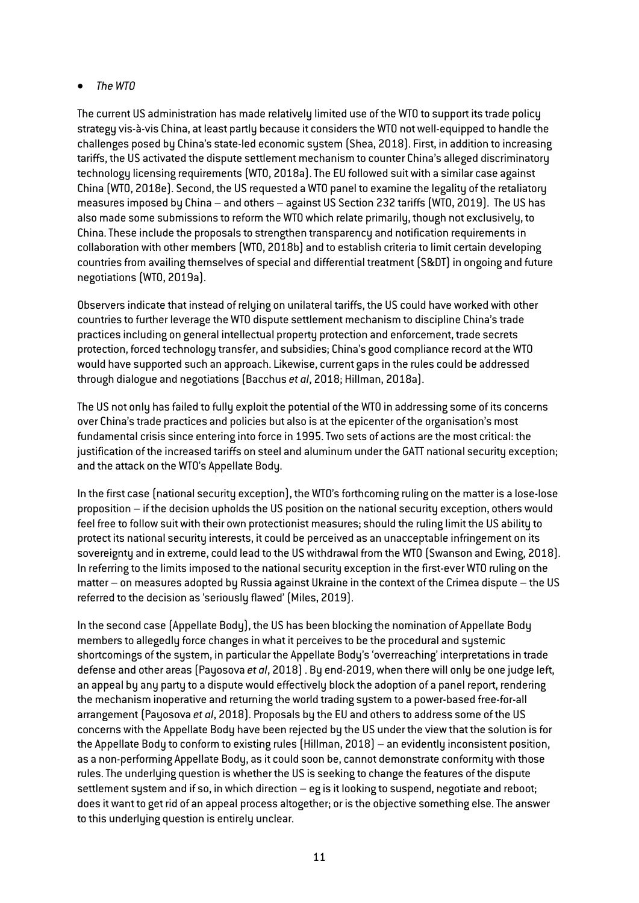# • *The WTO*

The current US administration has made relatively limited use of the WTO to support its trade policy strategy vis-à-vis China, at least partly because it considers the WTO not well-equipped to handle the challenges posed by China's state-led economic system (Shea, 2018). First, in addition to increasing tariffs, the US activated the dispute settlement mechanism to counter China's alleged discriminatory technology licensing requirements (WTO, 2018a). The EU followed suit with a similar case against China (WTO, 2018e). Second, the US requested a WTO panel to examine the legality of the retaliatory measures imposed by China – and others – against US Section 232 tariffs (WTO, 2019). The US has also made some submissions to reform the WTO which relate primarily, though not exclusively, to China. These include the proposals to strengthen transparency and notification requirements in collaboration with other members (WTO, 2018b) and to establish criteria to limit certain developing countries from availing themselves of special and differential treatment (S&DT) in ongoing and future negotiations (WTO, 2019a).

Observers indicate that instead of relying on unilateral tariffs, the US could have worked with other countries to further leverage the WTO dispute settlement mechanism to discipline China's trade practices including on general intellectual property protection and enforcement, trade secrets protection, forced technology transfer, and subsidies; China's good compliance record at the WTO would have supported such an approach. Likewise, current gaps in the rules could be addressed through dialogue and negotiations (Bacchus *et al*, 2018; Hillman, 2018a).

The US not only has failed to fully exploit the potential of the WTO in addressing some of its concerns over China's trade practices and policies but also is at the epicenter of the organisation's most fundamental crisis since entering into force in 1995. Two sets of actions are the most critical: the justification of the increased tariffs on steel and aluminum under the GATT national security exception; and the attack on the WTO's Appellate Body.

In the first case (national security exception), the WTO's forthcoming ruling on the matter is a lose-lose proposition – if the decision upholds the US position on the national security exception, others would feel free to follow suit with their own protectionist measures; should the ruling limit the US ability to protect its national security interests, it could be perceived as an unacceptable infringement on its sovereignty and in extreme, could lead to the US withdrawal from the WTO (Swanson and Ewing, 2018). In referring to the limits imposed to the national security exception in the first-ever WTO ruling on the matter – on measures adopted by Russia against Ukraine in the context of the Crimea dispute – the US referred to the decision as 'seriously flawed' (Miles, 2019).

In the second case (Appellate Body), the US has been blocking the nomination of Appellate Body members to allegedly force changes in what it perceives to be the procedural and systemic shortcomings of the system, in particular the Appellate Body's 'overreaching' interpretations in trade defense and other areas (Payosova *et al*, 2018) . By end-2019, when there will only be one judge left, an appeal by any party to a dispute would effectively block the adoption of a panel report, rendering the mechanism inoperative and returning the world trading system to a power-based free-for-all arrangement (Payosova *et al*, 2018). Proposals by the EU and others to address some of the US concerns with the Appellate Body have been rejected by the US under the view that the solution is for the Appellate Body to conform to existing rules (Hillman, 2018) – an evidently inconsistent position, as a non-performing Appellate Body, as it could soon be, cannot demonstrate conformity with those rules. The underlying question is whether the US is seeking to change the features of the dispute settlement system and if so, in which direction – eg is it looking to suspend, negotiate and reboot; does it want to get rid of an appeal process altogether; or is the objective something else. The answer to this underlying question is entirely unclear.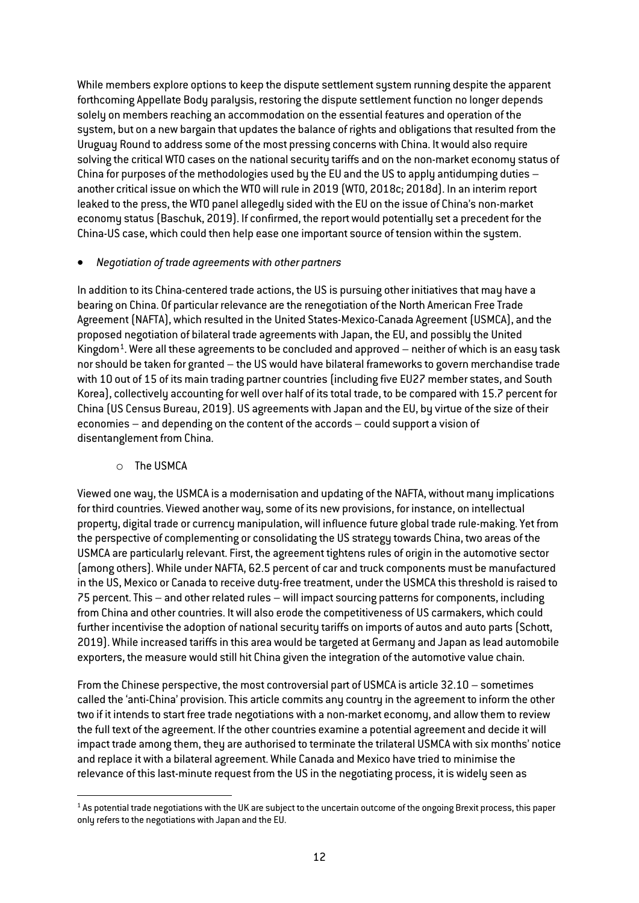While members explore options to keep the dispute settlement system running despite the apparent forthcoming Appellate Body paralysis, restoring the dispute settlement function no longer depends solely on members reaching an accommodation on the essential features and operation of the system, but on a new bargain that updates the balance of rights and obligations that resulted from the Uruguay Round to address some of the most pressing concerns with China. It would also require solving the critical WTO cases on the national security tariffs and on the non-market economy status of China for purposes of the methodologies used by the EU and the US to apply antidumping duties – another critical issue on which the WTO will rule in 2019 (WTO, 2018c; 2018d). In an interim report leaked to the press, the WTO panel allegedly sided with the EU on the issue of China's non-market economy status (Baschuk, 2019). If confirmed, the report would potentially set a precedent for the China-US case, which could then help ease one important source of tension within the system.

#### • *Negotiation of trade agreements with other partners*

In addition to its China-centered trade actions, the US is pursuing other initiatives that may have a bearing on China. Of particular relevance are the renegotiation of the North American Free Trade Agreement (NAFTA), which resulted in the United States-Mexico-Canada Agreement (USMCA), and the proposed negotiation of bilateral trade agreements with Japan, the EU, and possibly the United Kingdom<sup>1</sup>. Were all these agreements to be concluded and approved  $-$  neither of which is an easy task nor should be taken for granted – the US would have bilateral frameworks to govern merchandise trade with 10 out of 15 of its main trading partner countries (including five EU27 member states, and South Korea), collectively accounting for well over half of its total trade, to be compared with 15.7 percent for China (US Census Bureau, 2019). US agreements with Japan and the EU, by virtue of the size of their economies – and depending on the content of the accords – could support a vision of disentanglement from China.

## o The USMCA

Viewed one way, the USMCA is a modernisation and updating of the NAFTA, without many implications for third countries. Viewed another way, some of its new provisions, for instance, on intellectual property, digital trade or currency manipulation, will influence future global trade rule-making. Yet from the perspective of complementing or consolidating the US strategy towards China, two areas of the USMCA are particularly relevant. First, the agreement tightens rules of origin in the automotive sector (among others). While under NAFTA, 62.5 percent of car and truck components must be manufactured in the US, Mexico or Canada to receive duty-free treatment, under the USMCA this threshold is raised to 75 percent. This – and other related rules – will impact sourcing patterns for components, including from China and other countries. It will also erode the competitiveness of US carmakers, which could further incentivise the adoption of national security tariffs on imports of autos and auto parts (Schott, 2019). While increased tariffs in this area would be targeted at Germany and Japan as lead automobile exporters, the measure would still hit China given the integration of the automotive value chain.

From the Chinese perspective, the most controversial part of USMCA is article 32.10 – sometimes called the 'anti-China' provision. This article commits any country in the agreement to inform the other two if it intends to start free trade negotiations with a non-market economy, and allow them to review the full text of the agreement. If the other countries examine a potential agreement and decide it will impact trade among them, they are authorised to terminate the trilateral USMCA with six months' notice and replace it with a bilateral agreement. While Canada and Mexico have tried to minimise the relevance of this last-minute request from the US in the negotiating process, it is widely seen as

<span id="page-12-0"></span> $1$  As potential trade negotiations with the UK are subject to the uncertain outcome of the ongoing Brexit process, this paper only refers to the negotiations with Japan and the EU.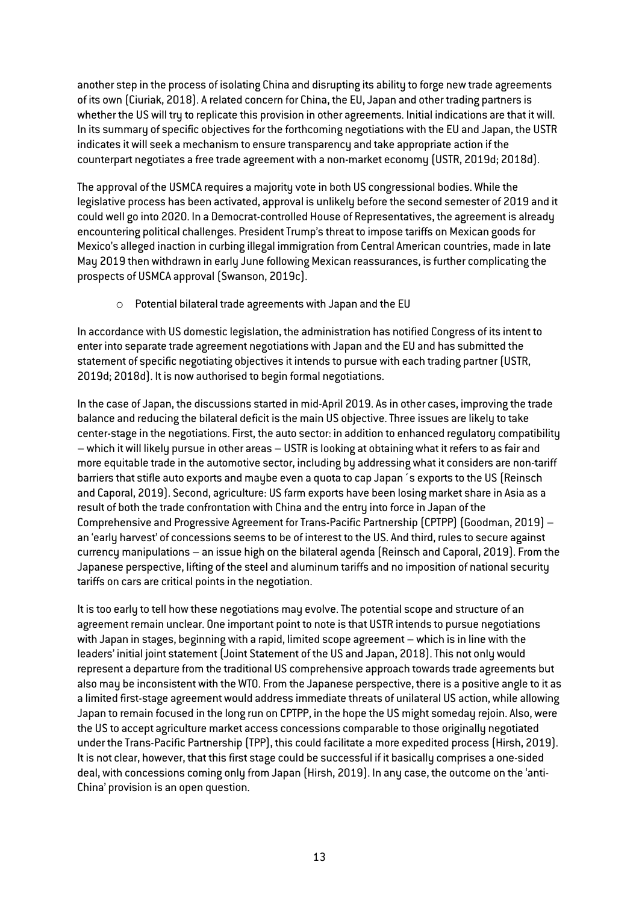another step in the process of isolating China and disrupting its ability to forge new trade agreements of its own (Ciuriak, 2018). A related concern for China, the EU, Japan and other trading partners is whether the US will try to replicate this provision in other agreements. Initial indications are that it will. In its summary of specific objectives for the forthcoming negotiations with the EU and Japan, the USTR indicates it will seek a mechanism to ensure transparency and take appropriate action if the counterpart negotiates a free trade agreement with a non-market economy (USTR, 2019d; 2018d).

The approval of the USMCA requires a majority vote in both US congressional bodies. While the legislative process has been activated, approval is unlikely before the second semester of 2019 and it could well go into 2020. In a Democrat-controlled House of Representatives, the agreement is already encountering political challenges. President Trump's threat to impose tariffs on Mexican goods for Mexico's alleged inaction in curbing illegal immigration from Central American countries, made in late May 2019 then withdrawn in early June following Mexican reassurances, is further complicating the prospects of USMCA approval (Swanson, 2019c).

o Potential bilateral trade agreements with Japan and the EU

In accordance with US domestic legislation, the administration has notified Congress of its intent to enter into separate trade agreement negotiations with Japan and the EU and has submitted the statement of specific negotiating objectives it intends to pursue with each trading partner (USTR, 2019d; 2018d). It is now authorised to begin formal negotiations.

In the case of Japan, the discussions started in mid-April 2019. As in other cases, improving the trade balance and reducing the bilateral deficit is the main US objective. Three issues are likely to take center-stage in the negotiations. First, the auto sector: in addition to enhanced regulatory compatibility – which it will likely pursue in other areas – USTR is looking at obtaining what it refers to as fair and more equitable trade in the automotive sector, including by addressing what it considers are non-tariff barriers that stifle auto exports and maybe even a quota to cap Japan´s exports to the US (Reinsch and Caporal, 2019). Second, agriculture: US farm exports have been losing market share in Asia as a result of both the trade confrontation with China and the entry into force in Japan of the Comprehensive and Progressive Agreement for Trans-Pacific Partnership (CPTPP) (Goodman, 2019) – an 'early harvest' of concessions seems to be of interest to the US. And third, rules to secure against currency manipulations – an issue high on the bilateral agenda (Reinsch and Caporal, 2019). From the Japanese perspective, lifting of the steel and aluminum tariffs and no imposition of national security tariffs on cars are critical points in the negotiation.

It is too early to tell how these negotiations may evolve. The potential scope and structure of an agreement remain unclear. One important point to note is that USTR intends to pursue negotiations with Japan in stages, beginning with a rapid, limited scope agreement – which is in line with the leaders' initial joint statement (Joint Statement of the US and Japan, 2018). This not only would represent a departure from the traditional US comprehensive approach towards trade agreements but also may be inconsistent with the WTO. From the Japanese perspective, there is a positive angle to it as a limited first-stage agreement would address immediate threats of unilateral US action, while allowing Japan to remain focused in the long run on CPTPP, in the hope the US might someday rejoin. Also, were the US to accept agriculture market access concessions comparable to those originally negotiated under the Trans-Pacific Partnership (TPP), this could facilitate a more expedited process (Hirsh, 2019). It is not clear, however, that this first stage could be successful if it basically comprises a one-sided deal, with concessions coming only from Japan (Hirsh, 2019). In any case, the outcome on the 'anti-China' provision is an open question.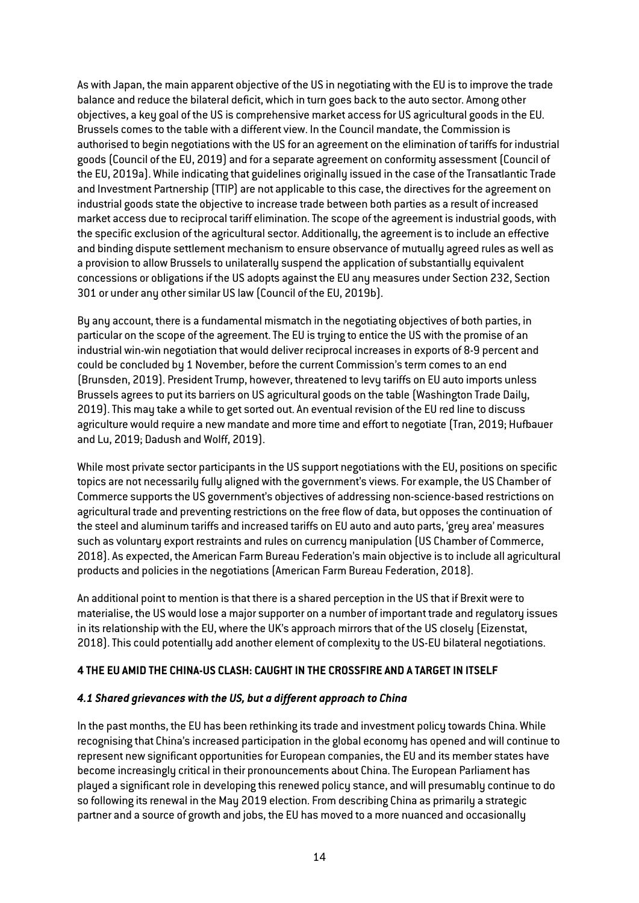As with Japan, the main apparent objective of the US in negotiating with the EU is to improve the trade balance and reduce the bilateral deficit, which in turn goes back to the auto sector. Among other objectives, a key goal of the US is comprehensive market access for US agricultural goods in the EU. Brussels comes to the table with a different view. In the Council mandate, the Commission is authorised to begin negotiations with the US for an agreement on the elimination of tariffs for industrial goods (Council of the EU, 2019) and for a separate agreement on conformity assessment (Council of the EU, 2019a). While indicating that guidelines originally issued in the case of the Transatlantic Trade and Investment Partnership (TTIP) are not applicable to this case, the directives for the agreement on industrial goods state the objective to increase trade between both parties as a result of increased market access due to reciprocal tariff elimination. The scope of the agreement is industrial goods, with the specific exclusion of the agricultural sector. Additionally, the agreement is to include an effective and binding dispute settlement mechanism to ensure observance of mutually agreed rules as well as a provision to allow Brussels to unilaterally suspend the application of substantially equivalent concessions or obligations if the US adopts against the EU any measures under Section 232, Section 301 or under any other similar US law (Council of the EU, 2019b).

By any account, there is a fundamental mismatch in the negotiating objectives of both parties, in particular on the scope of the agreement. The EU is trying to entice the US with the promise of an industrial win-win negotiation that would deliver reciprocal increases in exports of 8-9 percent and could be concluded by 1 November, before the current Commission's term comes to an end (Brunsden, 2019). President Trump, however, threatened to levy tariffs on EU auto imports unless Brussels agrees to put its barriers on US agricultural goods on the table (Washington Trade Daily, 2019). This may take a while to get sorted out. An eventual revision of the EU red line to discuss agriculture would require a new mandate and more time and effort to negotiate (Tran, 2019; Hufbauer and Lu, 2019; Dadush and Wolff, 2019).

While most private sector participants in the US support negotiations with the EU, positions on specific topics are not necessarily fully aligned with the government's views. For example, the US Chamber of Commerce supports the US government's objectives of addressing non-science-based restrictions on agricultural trade and preventing restrictions on the free flow of data, but opposes the continuation of the steel and aluminum tariffs and increased tariffs on EU auto and auto parts, 'grey area' measures such as voluntary export restraints and rules on currency manipulation (US Chamber of Commerce, 2018). As expected, the American Farm Bureau Federation's main objective is to include all agricultural products and policies in the negotiations (American Farm Bureau Federation, 2018).

An additional point to mention is that there is a shared perception in the US that if Brexit were to materialise, the US would lose a major supporter on a number of important trade and regulatory issues in its relationship with the EU, where the UK's approach mirrors that of the US closely (Eizenstat, 2018). This could potentially add another element of complexity to the US-EU bilateral negotiations.

## **4 THE EU AMID THE CHINA-US CLASH: CAUGHT IN THE CROSSFIRE AND A TARGET IN ITSELF**

#### *4.1 Shared grievances with the US, but a different approach to China*

In the past months, the EU has been rethinking its trade and investment policy towards China. While recognising that China's increased participation in the global economy has opened and will continue to represent new significant opportunities for European companies, the EU and its member states have become increasingly critical in their pronouncements about China. The European Parliament has played a significant role in developing this renewed policy stance, and will presumably continue to do so following its renewal in the May 2019 election. From describing China as primarily a strategic partner and a source of growth and jobs, the EU has moved to a more nuanced and occasionally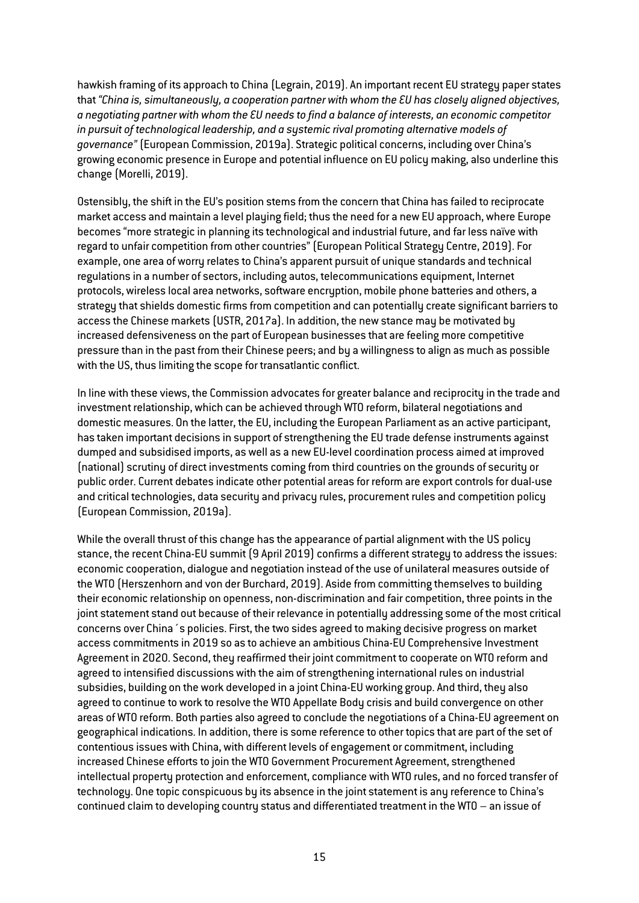hawkish framing of its approach to China (Legrain, 2019). An important recent EU strategy paper states that *"China is, simultaneously, a cooperation partner with whom the EU has closely aligned objectives, a negotiating partner with whom the EU needs to find a balance of interests, an economic competitor in pursuit of technological leadership, and a systemic rival promoting alternative models of governance"* (European Commission, 2019a). Strategic political concerns, including over China's growing economic presence in Europe and potential influence on EU policy making, also underline this change (Morelli, 2019).

Ostensibly, the shift in the EU's position stems from the concern that China has failed to reciprocate market access and maintain a level playing field; thus the need for a new EU approach, where Europe becomes "more strategic in planning its technological and industrial future, and far less naïve with regard to unfair competition from other countries" (European Political Strategy Centre, 2019). For example, one area of worry relates to China's apparent pursuit of unique standards and technical regulations in a number of sectors, including autos, telecommunications equipment, Internet protocols, wireless local area networks, software encryption, mobile phone batteries and others, a strategy that shields domestic firms from competition and can potentially create significant barriers to access the Chinese markets (USTR, 2017a). In addition, the new stance may be motivated by increased defensiveness on the part of European businesses that are feeling more competitive pressure than in the past from their Chinese peers; and by a willingness to align as much as possible with the US, thus limiting the scope for transatlantic conflict.

In line with these views, the Commission advocates for greater balance and reciprocity in the trade and investment relationship, which can be achieved through WTO reform, bilateral negotiations and domestic measures. On the latter, the EU, including the European Parliament as an active participant, has taken important decisions in support of strengthening the EU trade defense instruments against dumped and subsidised imports, as well as a new EU-level coordination process aimed at improved (national) scrutiny of direct investments coming from third countries on the grounds of security or public order. Current debates indicate other potential areas for reform are export controls for dual-use and critical technologies, data security and privacy rules, procurement rules and competition policy (European Commission, 2019a).

While the overall thrust of this change has the appearance of partial alignment with the US policy stance, the recent China-EU summit (9 April 2019) confirms a different strategy to address the issues: economic cooperation, dialogue and negotiation instead of the use of unilateral measures outside of the WTO (Herszenhorn and von der Burchard, 2019). Aside from committing themselves to building their economic relationship on openness, non-discrimination and fair competition, three points in the joint statement stand out because of their relevance in potentially addressing some of the most critical concerns over China´s policies. First, the two sides agreed to making decisive progress on market access commitments in 2019 so as to achieve an ambitious China-EU Comprehensive Investment Agreement in 2020. Second, they reaffirmed their joint commitment to cooperate on WTO reform and agreed to intensified discussions with the aim of strengthening international rules on industrial subsidies, building on the work developed in a joint China-EU working group. And third, they also agreed to continue to work to resolve the WTO Appellate Body crisis and build convergence on other areas of WTO reform. Both parties also agreed to conclude the negotiations of a China-EU agreement on geographical indications. In addition, there is some reference to other topics that are part of the set of contentious issues with China, with different levels of engagement or commitment, including increased Chinese efforts to join the WTO Government Procurement Agreement, strengthened intellectual property protection and enforcement, compliance with WTO rules, and no forced transfer of technology. One topic conspicuous by its absence in the joint statement is any reference to China's continued claim to developing country status and differentiated treatment in the WTO – an issue of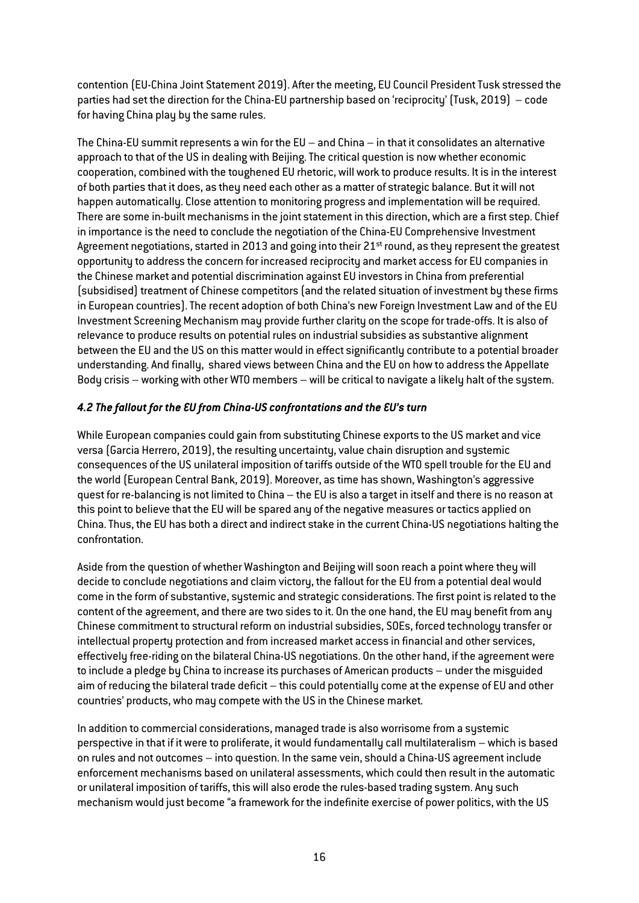contention (EU-China Joint Statement 2019). After the meeting, EU Council President Tusk stressed the parties had set the direction for the China-EU partnership based on 'reciprocity' (Tusk, 2019) – code for having China play by the same rules.

The China-EU summit represents a win for the EU – and China – in that it consolidates an alternative approach to that of the US in dealing with Beijing. The critical question is now whether economic cooperation, combined with the toughened EU rhetoric, will work to produce results. It is in the interest of both parties that it does, as they need each other as a matter of strategic balance. But it will not happen automatically. Close attention to monitoring progress and implementation will be required. There are some in-built mechanisms in the joint statement in this direction, which are a first step. Chief in importance is the need to conclude the negotiation of the China-EU Comprehensive Investment Agreement negotiations, started in 2013 and going into their 21<sup>st</sup> round, as they represent the greatest opportunity to address the concern for increased reciprocity and market access for EU companies in the Chinese market and potential discrimination against EU investors in China from preferential (subsidised) treatment of Chinese competitors (and the related situation of investment by these firms in European countries). The recent adoption of both China's new Foreign Investment Law and of the EU Investment Screening Mechanism may provide further clarity on the scope for trade-offs. It is also of relevance to produce results on potential rules on industrial subsidies as substantive alignment between the EU and the US on this matter would in effect significantly contribute to a potential broader understanding. And finally, shared views between China and the EU on how to address the Appellate Body crisis – working with other WTO members – will be critical to navigate a likely halt of the system.

# *4.2 The fallout for the EU from China-US confrontations and the EU's turn*

While European companies could gain from substituting Chinese exports to the US market and vice versa (Garcia Herrero, 2019), the resulting uncertainty, value chain disruption and systemic consequences of the US unilateral imposition of tariffs outside of the WTO spell trouble for the EU and the world (European Central Bank, 2019). Moreover, as time has shown, Washington's aggressive quest for re-balancing is not limited to China – the EU is also a target in itself and there is no reason at this point to believe that the EU will be spared any of the negative measures or tactics applied on China. Thus, the EU has both a direct and indirect stake in the current China-US negotiations halting the confrontation.

Aside from the question of whether Washington and Beijing will soon reach a point where they will decide to conclude negotiations and claim victory, the fallout for the EU from a potential deal would come in the form of substantive, systemic and strategic considerations. The first point is related to the content of the agreement, and there are two sides to it. On the one hand, the EU may benefit from any Chinese commitment to structural reform on industrial subsidies, SOEs, forced technology transfer or intellectual property protection and from increased market access in financial and other services, effectively free-riding on the bilateral China-US negotiations. On the other hand, if the agreement were to include a pledge by China to increase its purchases of American products – under the misguided aim of reducing the bilateral trade deficit – this could potentially come at the expense of EU and other countries' products, who may compete with the US in the Chinese market.

In addition to commercial considerations, managed trade is also worrisome from a systemic perspective in that if it were to proliferate, it would fundamentally call multilateralism – which is based on rules and not outcomes – into question. In the same vein, should a China-US agreement include enforcement mechanisms based on unilateral assessments, which could then result in the automatic or unilateral imposition of tariffs, this will also erode the rules-based trading system. Any such mechanism would just become "a framework for the indefinite exercise of power politics, with the US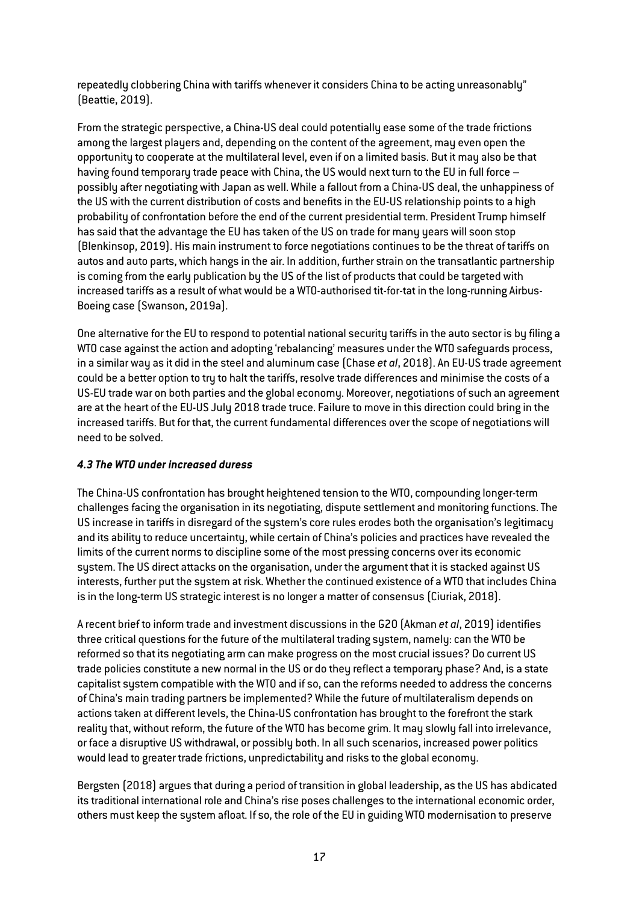repeatedly clobbering China with tariffs whenever it considers China to be acting unreasonably" (Beattie, 2019).

From the strategic perspective, a China-US deal could potentially ease some of the trade frictions among the largest players and, depending on the content of the agreement, may even open the opportunity to cooperate at the multilateral level, even if on a limited basis. But it may also be that having found temporary trade peace with China, the US would next turn to the EU in full force possibly after negotiating with Japan as well. While a fallout from a China-US deal, the unhappiness of the US with the current distribution of costs and benefits in the EU-US relationship points to a high probability of confrontation before the end of the current presidential term. President Trump himself has said that the advantage the EU has taken of the US on trade for many years will soon stop (Blenkinsop, 2019). His main instrument to force negotiations continues to be the threat of tariffs on autos and auto parts, which hangs in the air. In addition, further strain on the transatlantic partnership is coming from the early publication by the US of the list of products that could be targeted with increased tariffs as a result of what would be a WTO-authorised tit-for-tat in the long-running Airbus-Boeing case (Swanson, 2019a).

One alternative for the EU to respond to potential national security tariffs in the auto sector is by filing a WTO case against the action and adopting 'rebalancing' measures under the WTO safeguards process, in a similar way as it did in the steel and aluminum case (Chase *et al*, 2018). An EU-US trade agreement could be a better option to try to halt the tariffs, resolve trade differences and minimise the costs of a US-EU trade war on both parties and the global economy. Moreover, negotiations of such an agreement are at the heart of the EU-US July 2018 trade truce. Failure to move in this direction could bring in the increased tariffs. But for that, the current fundamental differences over the scope of negotiations will need to be solved.

# *4.3 The WTO under increased duress*

The China-US confrontation has brought heightened tension to the WTO, compounding longer-term challenges facing the organisation in its negotiating, dispute settlement and monitoring functions. The US increase in tariffs in disregard of the system's core rules erodes both the organisation's legitimacy and its ability to reduce uncertainty, while certain of China's policies and practices have revealed the limits of the current norms to discipline some of the most pressing concerns over its economic system. The US direct attacks on the organisation, under the argument that it is stacked against US interests, further put the system at risk. Whether the continued existence of a WTO that includes China is in the long-term US strategic interest is no longer a matter of consensus (Ciuriak, 2018).

A recent brief to inform trade and investment discussions in the G20 (Akman *et al*, 2019) identifies three critical questions for the future of the multilateral trading system, namely: can the WTO be reformed so that its negotiating arm can make progress on the most crucial issues? Do current US trade policies constitute a new normal in the US or do they reflect a temporary phase? And, is a state capitalist system compatible with the WTO and if so, can the reforms needed to address the concerns of China's main trading partners be implemented? While the future of multilateralism depends on actions taken at different levels, the China-US confrontation has brought to the forefront the stark reality that, without reform, the future of the WTO has become grim. It may slowly fall into irrelevance, or face a disruptive US withdrawal, or possibly both. In all such scenarios, increased power politics would lead to greater trade frictions, unpredictability and risks to the global economy.

Bergsten (2018) argues that during a period of transition in global leadership, as the US has abdicated its traditional international role and China's rise poses challenges to the international economic order, others must keep the system afloat. If so, the role of the EU in guiding WTO modernisation to preserve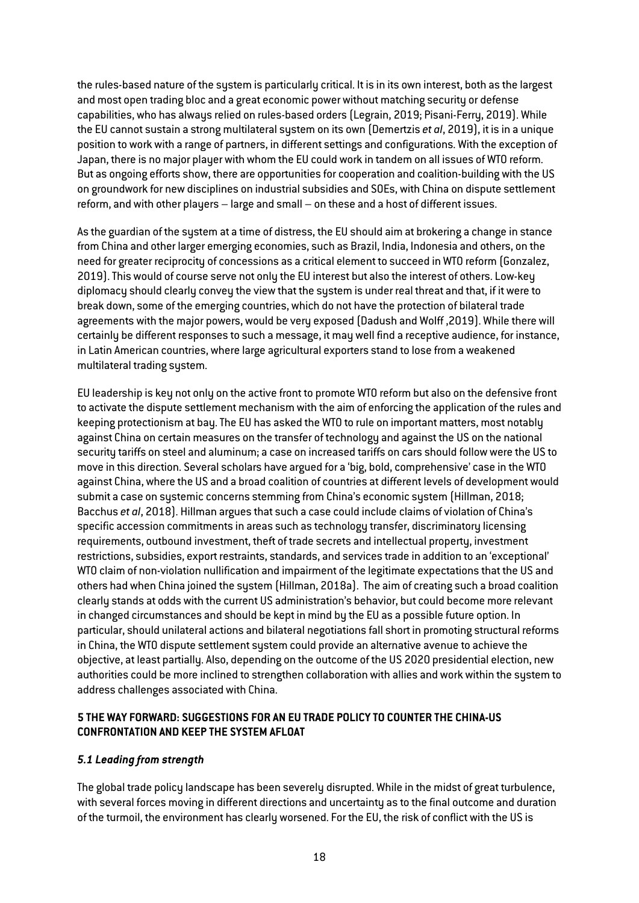the rules-based nature of the system is particularly critical. It is in its own interest, both as the largest and most open trading bloc and a great economic power without matching security or defense capabilities, who has always relied on rules-based orders (Legrain, 2019; Pisani-Ferry, 2019). While the EU cannot sustain a strong multilateral system on its own (Demertzis *et al*, 2019), it is in a unique position to work with a range of partners, in different settings and configurations. With the exception of Japan, there is no major player with whom the EU could work in tandem on all issues of WTO reform. But as ongoing efforts show, there are opportunities for cooperation and coalition-building with the US on groundwork for new disciplines on industrial subsidies and SOEs, with China on dispute settlement reform, and with other players – large and small – on these and a host of different issues.

As the guardian of the system at a time of distress, the EU should aim at brokering a change in stance from China and other larger emerging economies, such as Brazil, India, Indonesia and others, on the need for greater reciprocity of concessions as a critical element to succeed in WTO reform (Gonzalez, 2019).This would of course serve not only the EU interest but also the interest of others. Low-key diplomacy should clearly convey the view that the system is under real threat and that, if it were to break down, some of the emerging countries, which do not have the protection of bilateral trade agreements with the major powers, would be very exposed (Dadush and Wolff ,2019). While there will certainly be different responses to such a message, it may well find a receptive audience, for instance, in Latin American countries, where large agricultural exporters stand to lose from a weakened multilateral trading system.

EU leadership is key not only on the active front to promote WTO reform but also on the defensive front to activate the dispute settlement mechanism with the aim of enforcing the application of the rules and keeping protectionism at bay. The EU has asked the WTO to rule on important matters, most notably against China on certain measures on the transfer of technology and against the US on the national security tariffs on steel and aluminum; a case on increased tariffs on cars should follow were the US to move in this direction. Several scholars have argued for a 'big, bold, comprehensive' case in the WTO against China, where the US and a broad coalition of countries at different levels of development would submit a case on systemic concerns stemming from China's economic system (Hillman, 2018; Bacchus *et al*, 2018). Hillman argues that such a case could include claims of violation of China's specific accession commitments in areas such as technology transfer, discriminatory licensing requirements, outbound investment, theft of trade secrets and intellectual property, investment restrictions, subsidies, export restraints, standards, and services trade in addition to an 'exceptional' WTO claim of non-violation nullification and impairment of the legitimate expectations that the US and others had when China joined the system (Hillman, 2018a). The aim of creating such a broad coalition clearly stands at odds with the current US administration's behavior, but could become more relevant in changed circumstances and should be kept in mind by the EU as a possible future option. In particular, should unilateral actions and bilateral negotiations fall short in promoting structural reforms in China, the WTO dispute settlement system could provide an alternative avenue to achieve the objective, at least partially. Also, depending on the outcome of the US 2020 presidential election, new authorities could be more inclined to strengthen collaboration with allies and work within the system to address challenges associated with China.

# **5 THE WAY FORWARD: SUGGESTIONS FOR AN EU TRADE POLICY TO COUNTER THE CHINA-US CONFRONTATION AND KEEP THE SYSTEM AFLOAT**

## *5.1 Leading from strength*

The global trade policy landscape has been severely disrupted. While in the midst of great turbulence, with several forces moving in different directions and uncertainty as to the final outcome and duration of the turmoil, the environment has clearly worsened. For the EU, the risk of conflict with the US is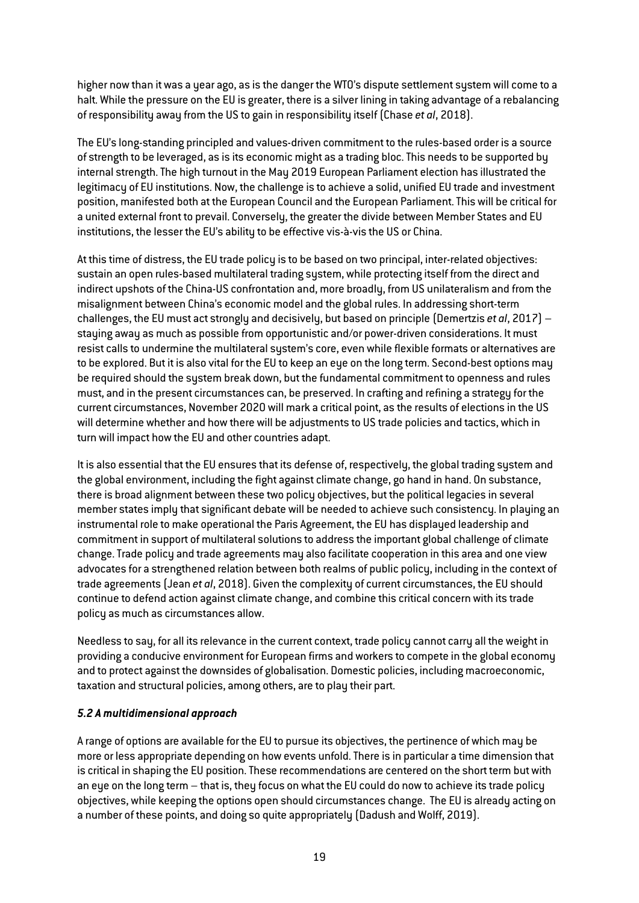higher now than it was a year ago, as is the danger the WTO's dispute settlement system will come to a halt. While the pressure on the EU is greater, there is a silver lining in taking advantage of a rebalancing of responsibility away from the US to gain in responsibility itself (Chase *et al*, 2018).

The EU's long-standing principled and values-driven commitment to the rules-based order is a source of strength to be leveraged, as is its economic might as a trading bloc. This needs to be supported by internal strength. The high turnout in the May 2019 European Parliament election has illustrated the legitimacy of EU institutions. Now, the challenge is to achieve a solid, unified EU trade and investment position, manifested both at the European Council and the European Parliament. This will be critical for a united external front to prevail. Conversely, the greater the divide between Member States and EU institutions, the lesser the EU's ability to be effective vis-à-vis the US or China.

At this time of distress, the EU trade policy is to be based on two principal, inter-related objectives: sustain an open rules-based multilateral trading system, while protecting itself from the direct and indirect upshots of the China-US confrontation and, more broadly, from US unilateralism and from the misalignment between China's economic model and the global rules. In addressing short-term challenges, the EU must act strongly and decisively, but based on principle (Demertzis *et al*, 2017) – staying away as much as possible from opportunistic and/or power-driven considerations. It must resist calls to undermine the multilateral system's core, even while flexible formats or alternatives are to be explored. But it is also vital for the EU to keep an eye on the long term. Second-best options may be required should the system break down, but the fundamental commitment to openness and rules must, and in the present circumstances can, be preserved. In crafting and refining a strategy for the current circumstances, November 2020 will mark a critical point, as the results of elections in the US will determine whether and how there will be adjustments to US trade policies and tactics, which in turn will impact how the EU and other countries adapt.

It is also essential that the EU ensures that its defense of, respectively, the global trading system and the global environment, including the fight against climate change, go hand in hand. On substance, there is broad alignment between these two policy objectives, but the political legacies in several member states imply that significant debate will be needed to achieve such consistency. In playing an instrumental role to make operational the Paris Agreement, the EU has displayed leadership and commitment in support of multilateral solutions to address the important global challenge of climate change. Trade policy and trade agreements may also facilitate cooperation in this area and one view advocates for a strengthened relation between both realms of public policy, including in the context of trade agreements (Jean *et al*, 2018). Given the complexity of current circumstances, the EU should continue to defend action against climate change, and combine this critical concern with its trade policy as much as circumstances allow.

Needless to say, for all its relevance in the current context, trade policy cannot carry all the weight in providing a conducive environment for European firms and workers to compete in the global economy and to protect against the downsides of globalisation. Domestic policies, including macroeconomic, taxation and structural policies, among others, are to play their part.

## *5.2 A multidimensional approach*

A range of options are available for the EU to pursue its objectives, the pertinence of which may be more or less appropriate depending on how events unfold.There is in particular a time dimension that is critical in shaping the EU position. These recommendations are centered on the short term but with an eye on the long term – that is, they focus on what the EU could do now to achieve its trade policy objectives, while keeping the options open should circumstances change. The EU is already acting on a number of these points, and doing so quite appropriately (Dadush and Wolff, 2019).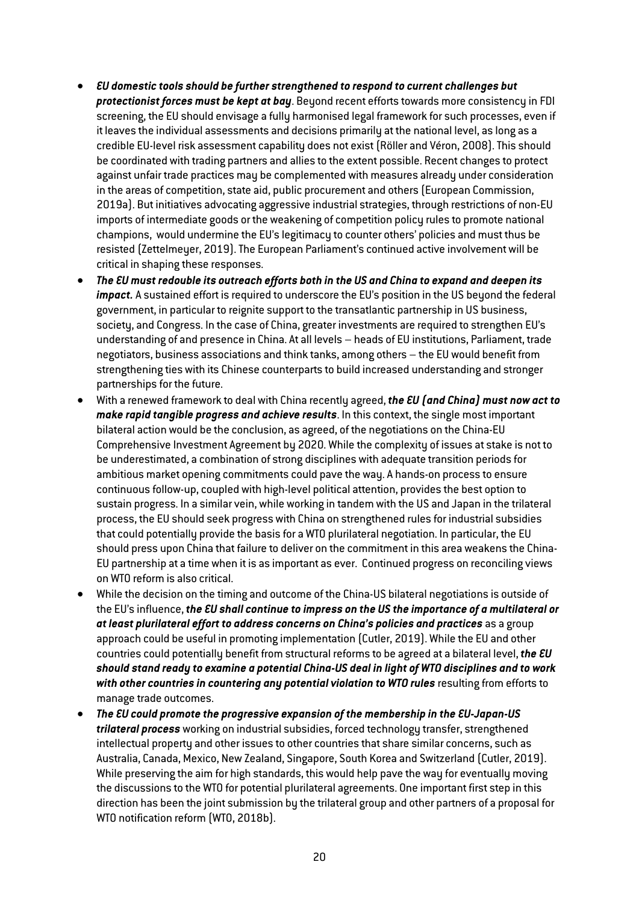- *EU domestic tools should be further strengthened to respond to current challenges but protectionist forces must be kept at bay*. Beyond recent efforts towards more consistency in FDI screening, the EU should envisage a fully harmonised legal framework for such processes, even if it leaves the individual assessments and decisions primarily at the national level, as long as a credible EU-level risk assessment capability does not exist (Röller and Véron, 2008). This should be coordinated with trading partners and allies to the extent possible. Recent changes to protect against unfair trade practices may be complemented with measures already under consideration in the areas of competition, state aid, public procurement and others (European Commission, 2019a). But initiatives advocating aggressive industrial strategies, through restrictions of non-EU imports of intermediate goods or the weakening of competition policy rules to promote national champions, would undermine the EU's legitimacy to counter others' policies and must thus be resisted (Zettelmeyer, 2019).The European Parliament's continued active involvement will be critical in shaping these responses.
- *The EU must redouble its outreach efforts both in the US and China to expand and deepen its impact.* A sustained effort is required to underscore the EU's position in the US beyond the federal government, in particular to reignite support to the transatlantic partnership in US business, society, and Congress. In the case of China, greater investments are required to strengthen EU's understanding of and presence in China. At all levels – heads of EU institutions, Parliament, trade negotiators, business associations and think tanks, among others – the EU would benefit from strengthening ties with its Chinese counterparts to build increased understanding and stronger partnerships for the future.
- With a renewed framework to deal with China recently agreed, *the EU (and China) must now act to make rapid tangible progress and achieve results*. In this context, the single most important bilateral action would be the conclusion, as agreed, of the negotiations on the China-EU Comprehensive Investment Agreement by 2020. While the complexity of issues at stake is not to be underestimated, a combination of strong disciplines with adequate transition periods for ambitious market opening commitments could pave the way. A hands-on process to ensure continuous follow-up, coupled with high-level political attention, provides the best option to sustain progress. In a similar vein, while working in tandem with the US and Japan in the trilateral process, the EU should seek progress with China on strengthened rules for industrial subsidies that could potentially provide the basis for a WTO plurilateral negotiation. In particular, the EU should press upon China that failure to deliver on the commitment in this area weakens the China-EU partnership at a time when it is as important as ever. Continued progress on reconciling views on WTO reform is also critical.
- While the decision on the timing and outcome of the China-US bilateral negotiations is outside of the EU's influence, *the EU shall continue to impress on the US the importance of a multilateral or*  at least plurilateral effort to address concerns on China's policies and practices as a group approach could be useful in promoting implementation (Cutler, 2019). While the EU and other countries could potentially benefit from structural reforms to be agreed at a bilateral level, *the EU should stand ready to examine a potential China-US deal in light of WTO disciplines and to work with other countries in countering any potential violation to WTO rules* resulting from efforts to manage trade outcomes.
- *The EU could promote the progressive expansion of the membership in the EU-Japan-US trilateral process* working on industrial subsidies, forced technology transfer, strengthened intellectual property and other issues to other countries that share similar concerns, such as Australia, Canada, Mexico, New Zealand, Singapore, South Korea and Switzerland (Cutler, 2019). While preserving the aim for high standards, this would help pave the way for eventually moving the discussions to the WTO for potential plurilateral agreements. One important first step in this direction has been the joint submission by the trilateral group and other partners of a proposal for WTO notification reform (WTO, 2018b).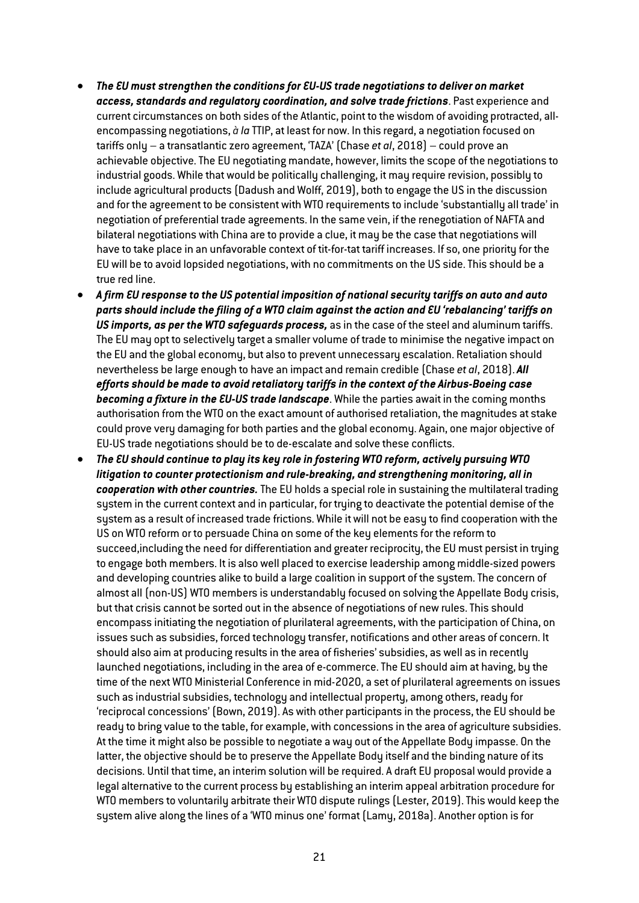- *The EU must strengthen the conditions for EU-US trade negotiations to deliver on market access, standards and regulatory coordination, and solve trade frictions*. Past experience and current circumstances on both sides of the Atlantic, point to the wisdom of avoiding protracted, allencompassing negotiations, *à la* TTIP, at least for now. In this regard, a negotiation focused on tariffs only – a transatlantic zero agreement, 'TAZA' (Chase *et al*, 2018) – could prove an achievable objective. The EU negotiating mandate, however, limits the scope of the negotiations to industrial goods. While that would be politically challenging, it may require revision, possibly to include agricultural products (Dadush and Wolff, 2019), both to engage the US in the discussion and for the agreement to be consistent with WTO requirements to include 'substantially all trade' in negotiation of preferential trade agreements. In the same vein, if the renegotiation of NAFTA and bilateral negotiations with China are to provide a clue, it may be the case that negotiations will have to take place in an unfavorable context of tit-for-tat tariff increases. If so, one priority for the EU will be to avoid lopsided negotiations, with no commitments on the US side. This should be a true red line.
- *A firm EU response to the US potential imposition of national security tariffs on auto and auto parts should include the filing of a WTO claim against the action and EU 'rebalancing' tariffs on US imports, as per the WTO safeguards process,* as in the case of the steel and aluminum tariffs. The EU may opt to selectively target a smaller volume of trade to minimise the negative impact on the EU and the global economy, but also to prevent unnecessary escalation. Retaliation should nevertheless be large enough to have an impact and remain credible (Chase *et al*, 2018). *All efforts should be made to avoid retaliatory tariffs in the context of the Airbus-Boeing case becoming a fixture in the EU-US trade landscape*. While the parties await in the coming months authorisation from the WTO on the exact amount of authorised retaliation, the magnitudes at stake could prove very damaging for both parties and the global economy. Again, one major objective of EU-US trade negotiations should be to de-escalate and solve these conflicts.
- *The EU should continue to play its key role in fostering WTO reform, actively pursuing WTO litigation to counter protectionism and rule-breaking, and strengthening monitoring, all in cooperation with other countries.*The EU holds a special role in sustaining the multilateral trading system in the current context and in particular, for trying to deactivate the potential demise of the system as a result of increased trade frictions. While it will not be easy to find cooperation with the US on WTO reform or to persuade China on some of the key elements for the reform to succeed,including the need for differentiation and greater reciprocity, the EU must persist in trying to engage both members. It is also well placed to exercise leadership among middle-sized powers and developing countries alike to build a large coalition in support of the system. The concern of almost all (non-US) WTO members is understandably focused on solving the Appellate Body crisis, but that crisis cannot be sorted out in the absence of negotiations of new rules. This should encompass initiating the negotiation of plurilateral agreements, with the participation of China, on issues such as subsidies, forced technology transfer, notifications and other areas of concern. It should also aim at producing results in the area of fisheries' subsidies, as well as in recently launched negotiations, including in the area of e-commerce.The EU should aim at having, by the time of the next WTO Ministerial Conference in mid-2020, a set of plurilateral agreements on issues such as industrial subsidies, technology and intellectual property, among others, ready for 'reciprocal concessions' (Bown, 2019). As with other participants in the process, the EU should be ready to bring value to the table, for example, with concessions in the area of agriculture subsidies. At the time it might also be possible to negotiate a way out of the Appellate Body impasse. On the latter, the objective should be to preserve the Appellate Body itself and the binding nature of its decisions. Until that time, an interim solution will be required. A draft EU proposal would provide a legal alternative to the current process by establishing an interim appeal arbitration procedure for WTO members to voluntarily arbitrate their WTO dispute rulings (Lester, 2019). This would keep the system alive along the lines of a 'WTO minus one' format (Lamy, 2018a). Another option is for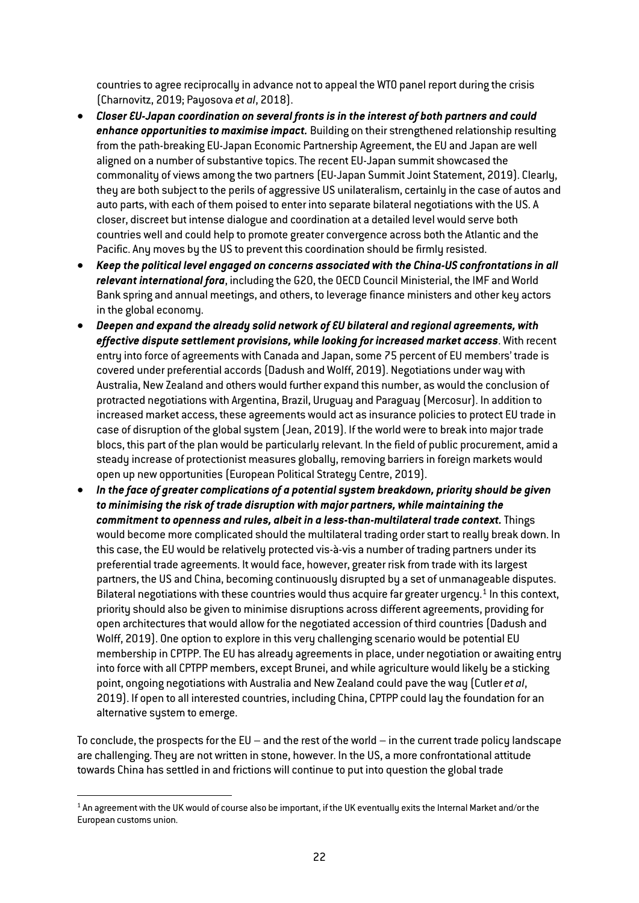countries to agree reciprocally in advance not to appeal the WTO panel report during the crisis (Charnovitz, 2019; Payosova *et al*, 2018).

- *Closer EU-Japan coordination on several fronts is in the interest of both partners and could enhance opportunities to maximise impact.* Building on their strengthened relationship resulting from the path-breaking EU-Japan Economic Partnership Agreement, the EU and Japan are well aligned on a number of substantive topics. The recent EU-Japan summit showcased the commonality of views among the two partners (EU-Japan Summit Joint Statement, 2019). Clearly, they are both subject to the perils of aggressive US unilateralism, certainly in the case of autos and auto parts, with each of them poised to enter into separate bilateral negotiations with the US. A closer, discreet but intense dialogue and coordination at a detailed level would serve both countries well and could help to promote greater convergence across both the Atlantic and the Pacific. Any moves by the US to prevent this coordination should be firmly resisted.
- *Keep the political level engaged on concerns associated with the China-US confrontations in all relevant international fora*, including the G20, the OECD Council Ministerial, the IMF and World Bank spring and annual meetings, and others, to leverage finance ministers and other key actors in the global economy.
- *Deepen and expand the already solid network of EU bilateral and regional agreements, with effective dispute settlement provisions, while looking for increased market access*. With recent entry into force of agreements with Canada and Japan, some 75 percent of EU members' trade is covered under preferential accords (Dadush and Wolff, 2019). Negotiations under way with Australia, New Zealand and others would further expand this number, as would the conclusion of protracted negotiations with Argentina, Brazil, Uruguay and Paraguay (Mercosur). In addition to increased market access, these agreements would act as insurance policies to protect EU trade in case of disruption of the global system (Jean, 2019). If the world were to break into major trade blocs, this part of the plan would be particularly relevant. In the field of public procurement, amid a steady increase of protectionist measures globally, removing barriers in foreign markets would open up new opportunities (European Political Strategy Centre, 2019).
- *In the face of greater complications of a potential system breakdown, priority should be given to minimising the risk of trade disruption with major partners, while maintaining the commitment to openness and rules, albeit in a less-than-multilateral trade context.* Things would become more complicated should the multilateral trading order start to really break down. In this case, the EU would be relatively protected vis-à-vis a number of trading partners under its preferential trade agreements. It would face, however, greater risk from trade with its largest partners, the US and China, becoming continuously disrupted by a set of unmanageable disputes. Bilateral negotiations with these countries would thus acquire far greater urgency.<sup>[1](#page-22-0)</sup> In this context, priority should also be given to minimise disruptions across different agreements, providing for open architectures that would allow for the negotiated accession of third countries (Dadush and Wolff, 2019). One option to explore in this very challenging scenario would be potential EU membership in CPTPP. The EU has already agreements in place, under negotiation or awaiting entry into force with all CPTPP members, except Brunei, and while agriculture would likely be a sticking point, ongoing negotiations with Australia and New Zealand could pave the way (Cutler *et al*, 2019). If open to all interested countries, including China, CPTPP could lay the foundation for an alternative system to emerge.

To conclude, the prospects for the EU – and the rest of the world – in the current trade policy landscape are challenging. They are not written in stone, however. In the US, a more confrontational attitude towards China has settled in and frictions will continue to put into question the global trade

<span id="page-22-0"></span> $1$  An agreement with the UK would of course also be important, if the UK eventually exits the Internal Market and/or the European customs union.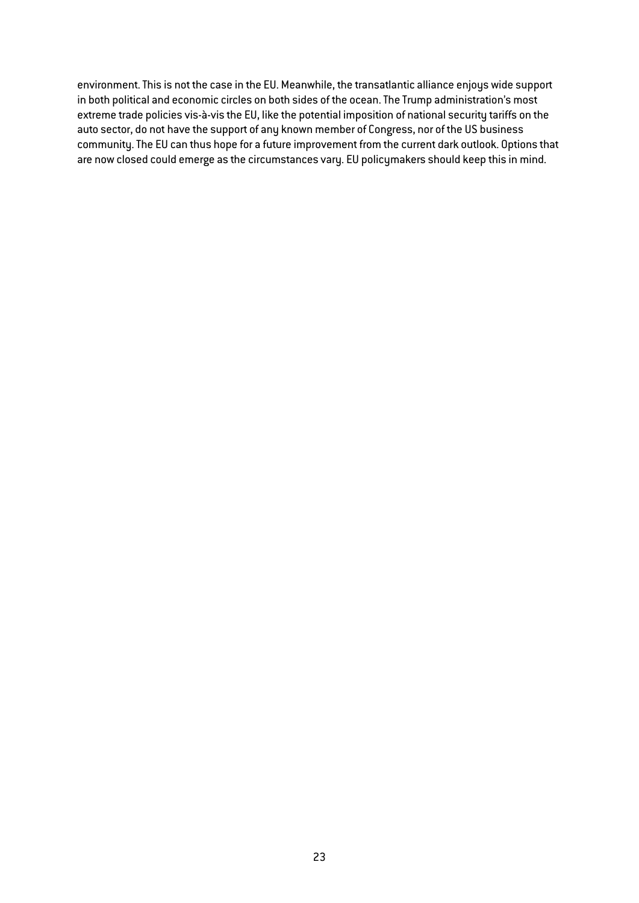environment. This is not the case in the EU. Meanwhile, the transatlantic alliance enjoys wide support in both political and economic circles on both sides of the ocean. The Trump administration's most extreme trade policies vis-à-vis the EU, like the potential imposition of national security tariffs on the auto sector, do not have the support of any known member of Congress, nor of the US business community. The EU can thus hope for a future improvement from the current dark outlook. Options that are now closed could emerge as the circumstances vary. EU policymakers should keep this in mind.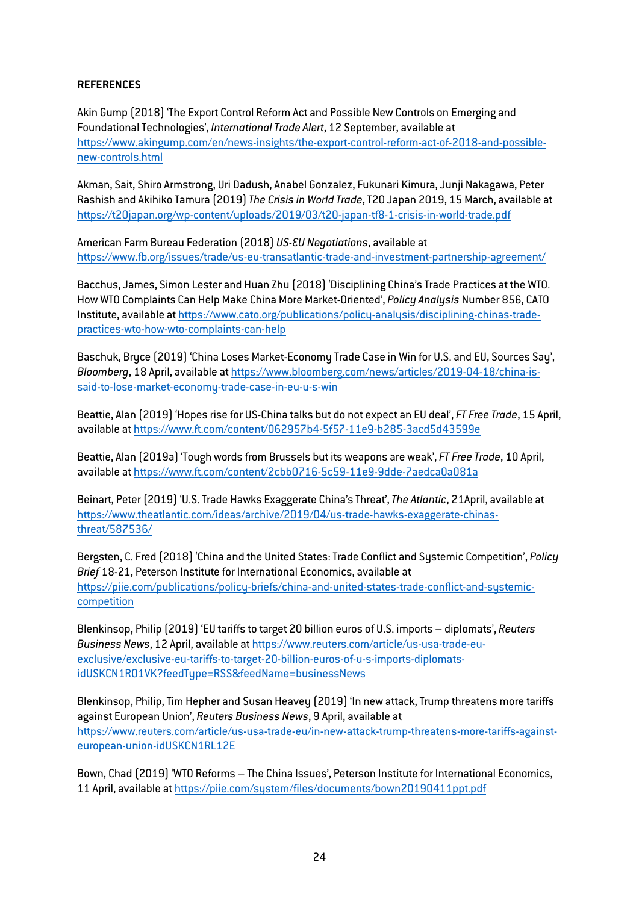## **REFERENCES**

Akin Gump (2018) 'The Export Control Reform Act and Possible New Controls on Emerging and Foundational Technologies', *International Trade Alert*, 12 September, available at [https://www.akingump.com/en/news-insights/the-export-control-reform-act-of-2018-and-possible](https://www.akingump.com/en/news-insights/the-export-control-reform-act-of-2018-and-possible-new-controls.html)[new-controls.html](https://www.akingump.com/en/news-insights/the-export-control-reform-act-of-2018-and-possible-new-controls.html)

Akman, Sait, Shiro Armstrong, Uri Dadush, Anabel Gonzalez, Fukunari Kimura, Junji Nakagawa, Peter Rashish and Akihiko Tamura (2019)*The Crisis in World Trade*,T20 Japan 2019, 15 March, available at <https://t20japan.org/wp-content/uploads/2019/03/t20-japan-tf8-1-crisis-in-world-trade.pdf>

American Farm Bureau Federation (2018) *US-EU Negotiations*, available at <https://www.fb.org/issues/trade/us-eu-transatlantic-trade-and-investment-partnership-agreement/>

Bacchus, James, Simon Lester and Huan Zhu (2018) 'Disciplining China's Trade Practices at the WTO. How WTO Complaints Can Help Make China More Market-Oriented', *Policy Analysis* Number 856, CATO Institute, available a[t https://www.cato.org/publications/policy-analysis/disciplining-chinas-trade](https://www.cato.org/publications/policy-analysis/disciplining-chinas-trade-practices-wto-how-wto-complaints-can-help)[practices-wto-how-wto-complaints-can-help](https://www.cato.org/publications/policy-analysis/disciplining-chinas-trade-practices-wto-how-wto-complaints-can-help)

Baschuk, Bryce (2019) 'China Loses Market-Economy Trade Case in Win for U.S. and EU, Sources Say', *Bloomberg*, 18 April, available a[t https://www.bloomberg.com/news/articles/2019-04-18/china-is](https://www.bloomberg.com/news/articles/2019-04-18/china-is-said-to-lose-market-economy-trade-case-in-eu-u-s-win)[said-to-lose-market-economy-trade-case-in-eu-u-s-win](https://www.bloomberg.com/news/articles/2019-04-18/china-is-said-to-lose-market-economy-trade-case-in-eu-u-s-win)

Beattie, Alan (2019) 'Hopes rise for US-China talks but do not expect an EU deal', *FT Free Trade*, 15 April, available a[t https://www.ft.com/content/062957b4-5f57-11e9-b285-3acd5d43599e](https://www.ft.com/content/062957b4-5f57-11e9-b285-3acd5d43599e)

Beattie, Alan (2019a) 'Tough words from Brussels but its weapons are weak', *FT Free Trade*, 10 April, available a[t https://www.ft.com/content/2cbb0716-5c59-11e9-9dde-7aedca0a081a](https://www.ft.com/content/2cbb0716-5c59-11e9-9dde-7aedca0a081a)

Beinart, Peter (2019) 'U.S. Trade Hawks Exaggerate China's Threat',*The Atlantic*, 21April, available at [https://www.theatlantic.com/ideas/archive/2019/04/us-trade-hawks-exaggerate-chinas](https://www.theatlantic.com/ideas/archive/2019/04/us-trade-hawks-exaggerate-chinas-threat/587536/)[threat/587536/](https://www.theatlantic.com/ideas/archive/2019/04/us-trade-hawks-exaggerate-chinas-threat/587536/)

Bergsten, C. Fred (2018) 'China and the United States: Trade Conflict and Systemic Competition', *Policy Brief* 18-21, Peterson Institute for International Economics, available at [https://piie.com/publications/policy-briefs/china-and-united-states-trade-conflict-and-systemic](https://piie.com/publications/policy-briefs/china-and-united-states-trade-conflict-and-systemic-competition)[competition](https://piie.com/publications/policy-briefs/china-and-united-states-trade-conflict-and-systemic-competition)

Blenkinsop, Philip (2019) 'EU tariffs to target 20 billion euros of U.S. imports – diplomats', *Reuters Business News*, 12 April, available at [https://www.reuters.com/article/us-usa-trade-eu](https://www.reuters.com/article/us-usa-trade-eu-exclusive/exclusive-eu-tariffs-to-target-20-billion-euros-of-u-s-imports-diplomats-idUSKCN1RO1VK?feedType=RSS&feedName=businessNews)[exclusive/exclusive-eu-tariffs-to-target-20-billion-euros-of-u-s-imports-diplomats](https://www.reuters.com/article/us-usa-trade-eu-exclusive/exclusive-eu-tariffs-to-target-20-billion-euros-of-u-s-imports-diplomats-idUSKCN1RO1VK?feedType=RSS&feedName=businessNews)[idUSKCN1RO1VK?feedType=RSS&feedName=businessNews](https://www.reuters.com/article/us-usa-trade-eu-exclusive/exclusive-eu-tariffs-to-target-20-billion-euros-of-u-s-imports-diplomats-idUSKCN1RO1VK?feedType=RSS&feedName=businessNews)

Blenkinsop, Philip, Tim Hepher and Susan Heavey (2019) 'In new attack, Trump threatens more tariffs against European Union', *Reuters Business News*, 9 April, available at [https://www.reuters.com/article/us-usa-trade-eu/in-new-attack-trump-threatens-more-tariffs-against](https://www.reuters.com/article/us-usa-trade-eu/in-new-attack-trump-threatens-more-tariffs-against-european-union-idUSKCN1RL12E)[european-union-idUSKCN1RL12E](https://www.reuters.com/article/us-usa-trade-eu/in-new-attack-trump-threatens-more-tariffs-against-european-union-idUSKCN1RL12E)

Bown, Chad (2019) 'WTO Reforms – The China Issues', Peterson Institute for International Economics, 11 April, available a[t https://piie.com/system/files/documents/bown20190411ppt.pdf](https://piie.com/system/files/documents/bown20190411ppt.pdf)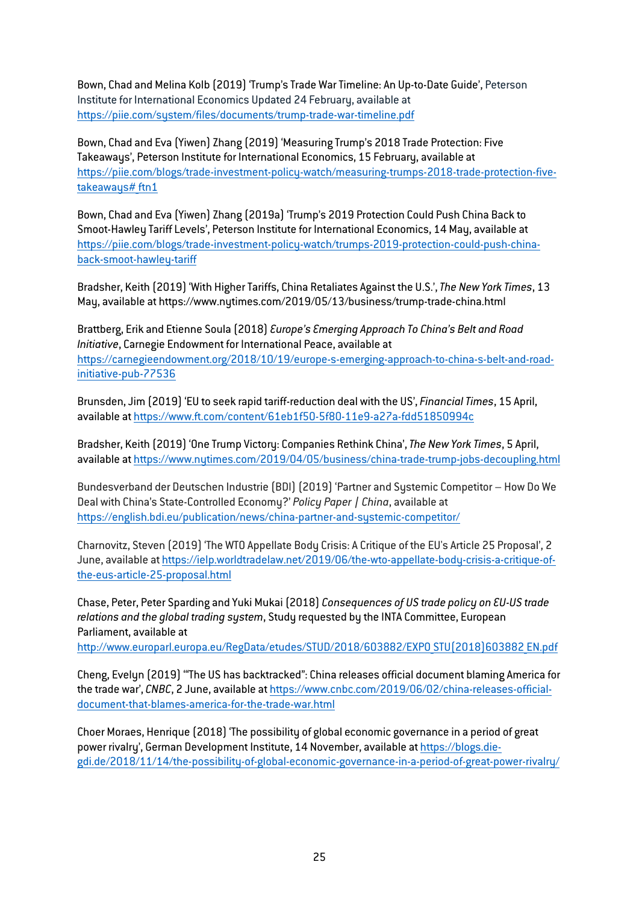Bown, Chad and Melina Kolb (2019) 'Trump's Trade War Timeline: An Up-to-Date Guide', Peterson Institute for International Economics Updated 24 February, available at <https://piie.com/system/files/documents/trump-trade-war-timeline.pdf>

Bown, Chad and Eva (Yiwen) Zhang (2019) 'Measuring Trump's 2018 Trade Protection: Five Takeaways', Peterson Institute for International Economics, 15 February, available at [https://piie.com/blogs/trade-investment-policy-watch/measuring-trumps-2018-trade-protection-five](https://piie.com/blogs/trade-investment-policy-watch/measuring-trumps-2018-trade-protection-five-takeaways#_ftn1)takeaways# ftn1

Bown, Chad and Eva (Yiwen) Zhang (2019a) 'Trump's 2019 Protection Could Push China Back to Smoot-Hawley Tariff Levels', Peterson Institute for International Economics, 14 May, available at https://piie.com/blogs/trade-investment-policy-watch/trumps-2019-protection-could-push-chinaback-smoot-hawley-tariff

Bradsher, Keith (2019) 'With Higher Tariffs, China Retaliates Against the U.S.',*The New York Times*, 13 May, available at https://www.nytimes.com/2019/05/13/business/trump-trade-china.html

Brattberg, Erik and Etienne Soula (2018) *Europe's Emerging Approach To China's Belt and Road Initiative*, Carnegie Endowment for International Peace, available at [https://carnegieendowment.org/2018/10/19/europe-s-emerging-approach-to-china-s-belt-and-road](https://carnegieendowment.org/2018/10/19/europe-s-emerging-approach-to-china-s-belt-and-road-initiative-pub-77536)[initiative-pub-77536](https://carnegieendowment.org/2018/10/19/europe-s-emerging-approach-to-china-s-belt-and-road-initiative-pub-77536)

Brunsden, Jim (2019) 'EU to seek rapid tariff-reduction deal with the US', *Financial Times*, 15 April, available a[t https://www.ft.com/content/61eb1f50-5f80-11e9-a27a-fdd51850994c](https://www.ft.com/content/61eb1f50-5f80-11e9-a27a-fdd51850994c)

Bradsher, Keith (2019) 'One Trump Victory: Companies Rethink China',*The New York Times*, 5 April, available a[t https://www.nytimes.com/2019/04/05/business/china-trade-trump-jobs-decoupling.html](https://www.nytimes.com/2019/04/05/business/china-trade-trump-jobs-decoupling.html)

Bundesverband der Deutschen Industrie (BDI) (2019) 'Partner and Systemic Competitor – How Do We Deal with China's State-Controlled Economy?' *Policy Paper | China*, available at <https://english.bdi.eu/publication/news/china-partner-and-systemic-competitor/>

Charnovitz, Steven (2019) 'The WTO Appellate Body Crisis: A Critique of the EU's Article 25 Proposal', 2 June, available at [https://ielp.worldtradelaw.net/2019/06/the-wto-appellate-body-crisis-a-critique-of](https://ielp.worldtradelaw.net/2019/06/the-wto-appellate-body-crisis-a-critique-of-the-eus-article-25-proposal.html)[the-eus-article-25-proposal.html](https://ielp.worldtradelaw.net/2019/06/the-wto-appellate-body-crisis-a-critique-of-the-eus-article-25-proposal.html)

Chase, Peter, Peter Sparding and Yuki Mukai (2018) *Consequences of US trade policy on EU-US trade relations and the global trading system*, Study requested by the INTA Committee, European Parliament, available at

[http://www.europarl.europa.eu/RegData/etudes/STUD/2018/603882/EXPO\\_STU\(2018\)603882\\_EN.pdf](http://www.europarl.europa.eu/RegData/etudes/STUD/2018/603882/EXPO_STU(2018)603882_EN.pdf)

Cheng, Evelyn (2019) '"The US has backtracked": China releases official document blaming America for the trade war', *CNBC*, 2 June, available a[t https://www.cnbc.com/2019/06/02/china-releases-official](https://www.cnbc.com/2019/06/02/china-releases-official-document-that-blames-america-for-the-trade-war.html)[document-that-blames-america-for-the-trade-war.html](https://www.cnbc.com/2019/06/02/china-releases-official-document-that-blames-america-for-the-trade-war.html)

Choer Moraes, Henrique (2018) 'The possibility of global economic governance in a period of great power rivalry', German Development Institute, 14 November, available a[t https://blogs.die](https://blogs.die-gdi.de/2018/11/14/the-possibility-of-global-economic-governance-in-a-period-of-great-power-rivalry/)[gdi.de/2018/11/14/the-possibility-of-global-economic-governance-in-a-period-of-great-power-rivalry/](https://blogs.die-gdi.de/2018/11/14/the-possibility-of-global-economic-governance-in-a-period-of-great-power-rivalry/)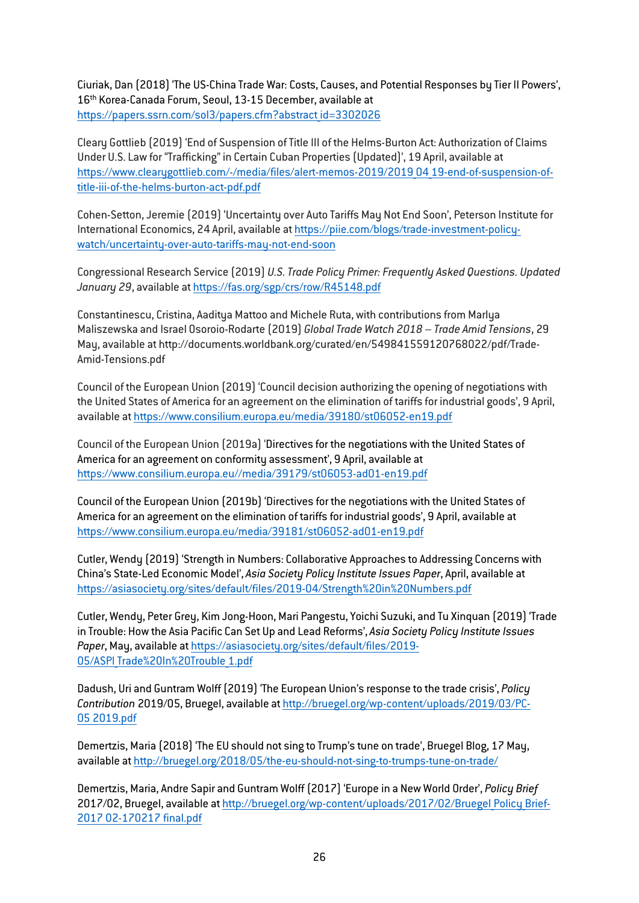Ciuriak, Dan (2018) 'The US-China Trade War: Costs, Causes, and Potential Responses by Tier II Powers', 16th Korea-Canada Forum, Seoul, 13-15 December, available at https://papers.ssrn.com/sol3/papers.cfm?abstract id=3302026

Cleary Gottlieb (2019) 'End of Suspension of Title III of the Helms-Burton Act: Authorization of Claims Under U.S. Law for "Trafficking" in Certain Cuban Properties (Updated)', 19 April, available at https://www.clearygottlieb.com/-/media/files/alert-memos-2019/2019 04 19-end-of-suspension-of[title-iii-of-the-helms-burton-act-pdf.pdf](https://www.clearygottlieb.com/-/media/files/alert-memos-2019/2019_04_19-end-of-suspension-of-title-iii-of-the-helms-burton-act-pdf.pdf)

Cohen-Setton, Jeremie (2019) 'Uncertainty over Auto Tariffs May Not End Soon', Peterson Institute for International Economics, 24 April, available a[t https://piie.com/blogs/trade-investment-policy](https://piie.com/blogs/trade-investment-policy-watch/uncertainty-over-auto-tariffs-may-not-end-soon)[watch/uncertainty-over-auto-tariffs-may-not-end-soon](https://piie.com/blogs/trade-investment-policy-watch/uncertainty-over-auto-tariffs-may-not-end-soon)

Congressional Research Service (2019) *U.S. Trade Policy Primer: Frequently Asked Questions. Updated January 29*, available at<https://fas.org/sgp/crs/row/R45148.pdf>

Constantinescu, Cristina, Aaditya Mattoo and Michele Ruta, with contributions from Marlya Maliszewska and Israel Osoroio-Rodarte (2019) *Global Trade Watch 2018 – Trade Amid Tensions*, 29 May, available at [http://documents.worldbank.org/curated/en/549841559120768022/pdf/Trade-](http://documents.worldbank.org/curated/en/549841559120768022/pdf/Trade-Amid-Tensions.pdf)[Amid-Tensions.pdf](http://documents.worldbank.org/curated/en/549841559120768022/pdf/Trade-Amid-Tensions.pdf)

Council of the European Union (2019) 'Council decision authorizing the opening of negotiations with the United States of America for an agreement on the elimination of tariffs for industrial goods', 9 April, available a[t https://www.consilium.europa.eu/media/39180/st06052-en19.pdf](https://www.consilium.europa.eu/media/39180/st06052-en19.pdf)

Council of the European Union (2019a) 'Directives for the negotiations with the United States of America for an agreement on conformity assessment', 9 April, available at [https://www.consilium.europa.eu//media/39179/st06053-ad01-en19.pdf](https://www.consilium.europa.eu/media/39179/st06053-ad01-en19.pdf)

Council of the European Union (2019b) 'Directives for the negotiations with the United States of America for an agreement on the elimination of tariffs for industrial goods', 9 April, available at <https://www.consilium.europa.eu/media/39181/st06052-ad01-en19.pdf>

Cutler, Wendy (2019) 'Strength in Numbers: Collaborative Approaches to Addressing Concerns with China's State-Led Economic Model', *Asia Society Policy Institute Issues Paper*, April, available at <https://asiasociety.org/sites/default/files/2019-04/Strength%20in%20Numbers.pdf>

Cutler, Wendy, Peter Grey, Kim Jong-Hoon, Mari Pangestu, Yoichi Suzuki, and Tu Xinquan (2019) 'Trade in Trouble: How the Asia Pacific Can Set Up and Lead Reforms', *Asia Society Policy Institute Issues Paper*, May, available at [https://asiasociety.org/sites/default/files/2019-](https://asiasociety.org/sites/default/files/2019-05/ASPI_Trade%20In%20Trouble_1.pdf) 05/ASPI Trade%20In%20Trouble 1.pdf

Dadush, Uri and Guntram Wolff (2019) 'The European Union's response to the trade crisis', *Policy Contribution* 2019/05, Bruegel, available a[t http://bruegel.org/wp-content/uploads/2019/03/PC-](http://bruegel.org/wp-content/uploads/2019/03/PC-05_2019.pdf)[05\\_2019.pdf](http://bruegel.org/wp-content/uploads/2019/03/PC-05_2019.pdf)

Demertzis, Maria (2018) 'The EU should not sing to Trump's tune on trade', Bruegel Blog, 17 May, available a[t http://bruegel.org/2018/05/the-eu-should-not-sing-to-trumps-tune-on-trade/](http://bruegel.org/2018/05/the-eu-should-not-sing-to-trumps-tune-on-trade/)

Demertzis, Maria, Andre Sapir and Guntram Wolff (2017) 'Europe in a New World Order', *Policy Brief* 2017/02, Bruegel, available at http://bruegel.org/wp-content/uploads/2017/02/Bruegel Policy Brief-[2017\\_02-170217\\_final.pdf](http://bruegel.org/wp-content/uploads/2017/02/Bruegel_Policy_Brief-2017_02-170217_final.pdf)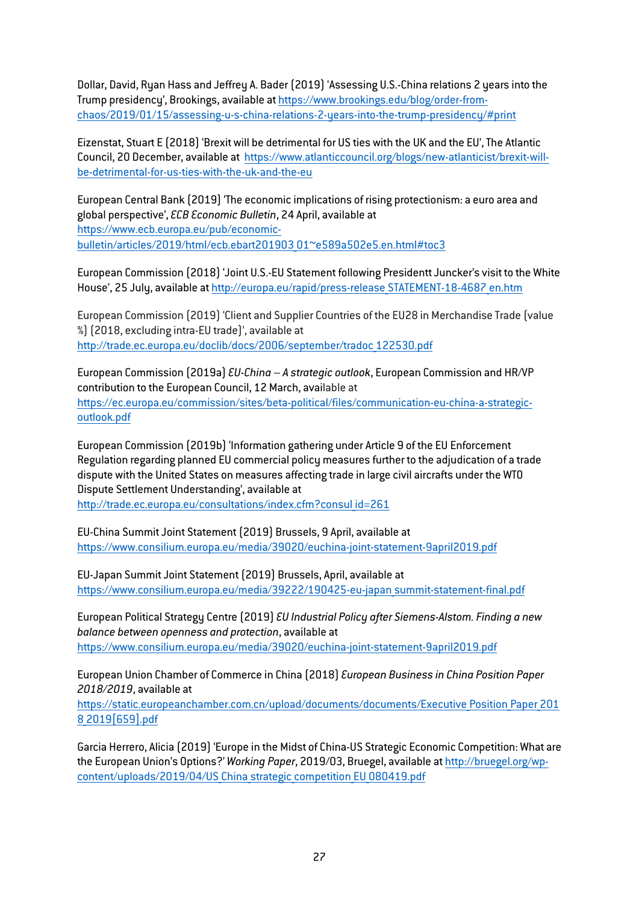Dollar, David, Ryan Hass and Jeffrey A. Bader (2019) 'Assessing U.S.-China relations 2 years into the Trump presidency', Brookings, available a[t https://www.brookings.edu/blog/order-from](https://www.brookings.edu/blog/order-from-chaos/2019/01/15/assessing-u-s-china-relations-2-years-into-the-trump-presidency/#print)[chaos/2019/01/15/assessing-u-s-china-relations-2-years-into-the-trump-presidency/#print](https://www.brookings.edu/blog/order-from-chaos/2019/01/15/assessing-u-s-china-relations-2-years-into-the-trump-presidency/#print)

Eizenstat, Stuart E (2018) 'Brexit will be detrimental for US ties with the UK and the EU',The Atlantic Council, 20 December, available at [https://www.atlanticcouncil.org/blogs/new-atlanticist/brexit-will](https://www.atlanticcouncil.org/blogs/new-atlanticist/brexit-will-be-detrimental-for-us-ties-with-the-uk-and-the-eu)[be-detrimental-for-us-ties-with-the-uk-and-the-eu](https://www.atlanticcouncil.org/blogs/new-atlanticist/brexit-will-be-detrimental-for-us-ties-with-the-uk-and-the-eu)

European Central Bank (2019) 'The economic implications of rising protectionism: a euro area and global perspective', *ECB Economic Bulletin*, 24 April, available at [https://www.ecb.europa.eu/pub/economic](https://www.ecb.europa.eu/pub/economic-bulletin/articles/2019/html/ecb.ebart201903_01%7Ee589a502e5.en.html#toc3)[bulletin/articles/2019/html/ecb.ebart201903\\_01](https://www.ecb.europa.eu/pub/economic-bulletin/articles/2019/html/ecb.ebart201903_01%7Ee589a502e5.en.html#toc3)~e589a502e5.en.html#toc3

European Commission (2018) 'Joint U.S.-EU Statement following Presidentt Juncker's visit to the White House', 25 July, available at [http://europa.eu/rapid/press-release\\_STATEMENT-18-4687\\_en.htm](http://europa.eu/rapid/press-release_STATEMENT-18-4687_en.htm)

European Commission (2019) 'Client and Supplier Countries of the EU28 in Merchandise Trade (value %) (2018, excluding intra-EU trade)', available at [http://trade.ec.europa.eu/doclib/docs/2006/september/tradoc\\_122530.pdf](http://trade.ec.europa.eu/doclib/docs/2006/september/tradoc_122530.pdf)

European Commission (2019a) *EU-China – A strategic outlook*, European Commission and HR/VP contribution to the European Council, 12 March, available at [https://ec.europa.eu/commission/sites/beta-political/files/communication-eu-china-a-strategic](https://ec.europa.eu/commission/sites/beta-political/files/communication-eu-china-a-strategic-outlook.pdf)[outlook.pdf](https://ec.europa.eu/commission/sites/beta-political/files/communication-eu-china-a-strategic-outlook.pdf)

European Commission (2019b) 'Information gathering under Article 9 of the EU Enforcement Regulation regarding planned EU commercial policy measures further to the adjudication of a trade dispute with the United States on measures affecting trade in large civil aircrafts under the WTO Dispute Settlement Understanding', available at http://trade.ec.europa.eu/consultations/index.cfm?consul id=261

EU-China Summit Joint Statement (2019) Brussels, 9 April, available at <https://www.consilium.europa.eu/media/39020/euchina-joint-statement-9april2019.pdf>

EU-Japan Summit Joint Statement (2019) Brussels, April, available at [https://www.consilium.europa.eu/media/39222/190425-eu-japan\\_summit-statement-final.pdf](https://www.consilium.europa.eu/media/39222/190425-eu-japan_summit-statement-final.pdf)

European Political Strategy Centre (2019) *EU Industrial Policy after Siemens-Alstom. Finding a new balance between openness and protection*, available at <https://www.consilium.europa.eu/media/39020/euchina-joint-statement-9april2019.pdf>

European Union Chamber of Commerce in China (2018) *European Business in China Position Paper 2018/2019*, available at

https://static.europeanchamber.com.cn/upload/documents/documents/Executive Position Paper 201 [8\\_2019\[659\].pdf](https://static.europeanchamber.com.cn/upload/documents/documents/Executive_Position_Paper_2018_2019%5b659%5d.pdf)

Garcia Herrero, Alicia (2019) 'Europe in the Midst of China-US Strategic Economic Competition: What are the European Union's Options?' *Working Paper*, 2019/03, Bruegel, available at [http://bruegel.org/wp](http://bruegel.org/wp-content/uploads/2019/04/US_China_strategic_competition_EU_080419.pdf)content/uploads/2019/04/US China strategic competition EU 080419.pdf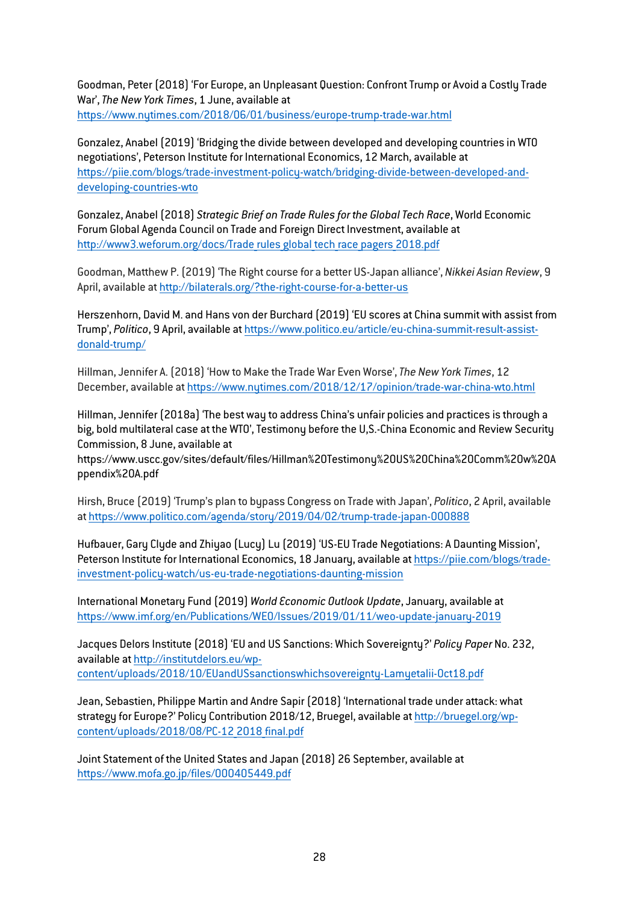Goodman, Peter (2018) 'For Europe, an Unpleasant Question: Confront Trump or Avoid a Costly Trade War',*The New York Times*, 1 June, available at <https://www.nytimes.com/2018/06/01/business/europe-trump-trade-war.html>

Gonzalez, Anabel (2019) 'Bridging the divide between developed and developing countries in WTO negotiations', Peterson Institute for International Economics, 12 March, available at [https://piie.com/blogs/trade-investment-policy-watch/bridging-divide-between-developed-and](https://piie.com/blogs/trade-investment-policy-watch/bridging-divide-between-developed-and-developing-countries-wto)[developing-countries-wto](https://piie.com/blogs/trade-investment-policy-watch/bridging-divide-between-developed-and-developing-countries-wto)

Gonzalez, Anabel (2018) *Strategic Brief on Trade Rules for the Global Tech Race*, World Economic Forum Global Agenda Council on Trade and Foreign Direct Investment, available at http://www3.weforum.org/docs/Trade rules global tech race pagers 2018.pdf

Goodman, Matthew P. (2019) 'The Right course for a better US-Japan alliance', *Nikkei Asian Review*, 9 April, available a[t http://bilaterals.org/?the-right-course-for-a-better-us](http://bilaterals.org/?the-right-course-for-a-better-us)

Herszenhorn, David M. and Hans von der Burchard (2019) 'EU scores at China summit with assist from Trump', *Politico*, 9 April, available a[t https://www.politico.eu/article/eu-china-summit-result-assist](https://www.politico.eu/article/eu-china-summit-result-assist-donald-trump/)[donald-trump/](https://www.politico.eu/article/eu-china-summit-result-assist-donald-trump/)

Hillman, Jennifer A. (2018) 'How to Make the Trade War Even Worse',*The New York Times*, 12 December, available a[t https://www.nytimes.com/2018/12/17/opinion/trade-war-china-wto.html](https://www.nytimes.com/2018/12/17/opinion/trade-war-china-wto.html)

Hillman, Jennifer (2018a) 'The best way to address China's unfair policies and practices is through a big, bold multilateral case at the WTO', Testimony before the U,S.-China Economic and Review Security Commission, 8 June, available at

[https://www.uscc.gov/sites/default/files/Hillman%20Testimony%20US%20China%20Comm%20w%20A](https://www.uscc.gov/sites/default/files/Hillman%20Testimony%20US%20China%20Comm%20w%20Appendix%20A.pdf) [ppendix%20A.pdf](https://www.uscc.gov/sites/default/files/Hillman%20Testimony%20US%20China%20Comm%20w%20Appendix%20A.pdf)

Hirsh, Bruce (2019) 'Trump's plan to bypass Congress on Trade with Japan', *Politico*, 2 April, available a[t https://www.politico.com/agenda/story/2019/04/02/trump-trade-japan-000888](https://www.politico.com/agenda/story/2019/04/02/trump-trade-japan-000888)

Hufbauer, Gary Clyde and Zhiyao (Lucy) Lu (2019) 'US-EU Trade Negotiations: A Daunting Mission', Peterson Institute for International Economics, 18 January, available at [https://piie.com/blogs/trade](https://piie.com/blogs/trade-investment-policy-watch/us-eu-trade-negotiations-daunting-mission)[investment-policy-watch/us-eu-trade-negotiations-daunting-mission](https://piie.com/blogs/trade-investment-policy-watch/us-eu-trade-negotiations-daunting-mission)

International Monetary Fund (2019) *World Economic Outlook Update*, January, available at <https://www.imf.org/en/Publications/WEO/Issues/2019/01/11/weo-update-january-2019>

Jacques Delors Institute (2018) 'EU and US Sanctions: Which Sovereignty?' *Policy Paper* No. 232, available a[t http://institutdelors.eu/wp](http://institutdelors.eu/wp-content/uploads/2018/10/EUandUSsanctionswhichsovereignty-Lamyetalii-Oct18.pdf)[content/uploads/2018/10/EUandUSsanctionswhichsovereignty-Lamyetalii-Oct18.pdf](http://institutdelors.eu/wp-content/uploads/2018/10/EUandUSsanctionswhichsovereignty-Lamyetalii-Oct18.pdf)

Jean, Sebastien, Philippe Martin and Andre Sapir (2018) 'International trade under attack: what strategy for Europe?' Policy Contribution 2018/12, Bruegel, available a[t http://bruegel.org/wp](http://bruegel.org/wp-content/uploads/2018/08/PC-12_2018_final.pdf)content/uploads/2018/08/PC-12 2018 final.pdf

Joint Statement of the United States and Japan (2018) 26 September, available at <https://www.mofa.go.jp/files/000405449.pdf>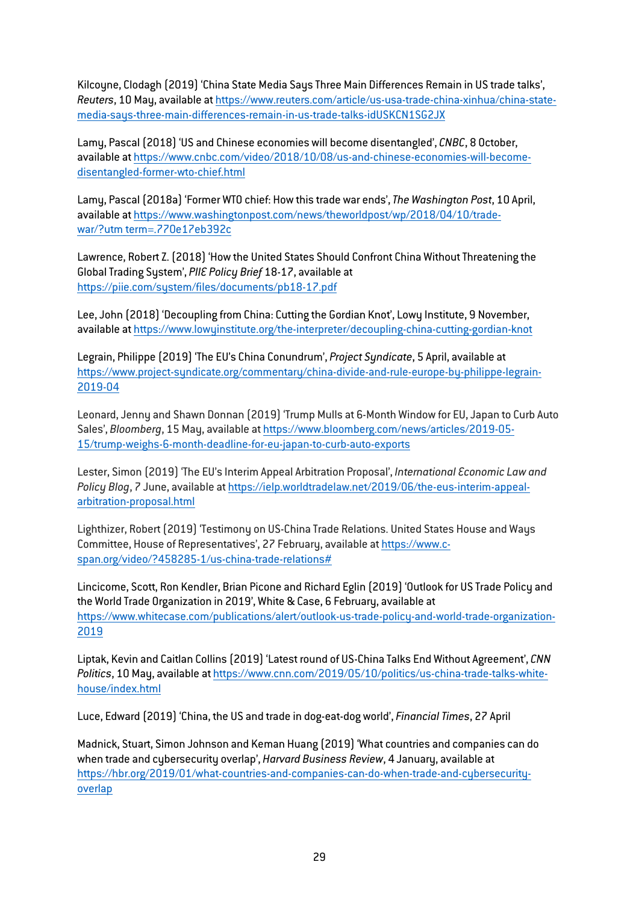Kilcoyne, Clodagh (2019) 'China State Media Says Three Main Differences Remain in US trade talks', *Reuters*, 10 May, available at [https://www.reuters.com/article/us-usa-trade-china-xinhua/china-state](https://www.reuters.com/article/us-usa-trade-china-xinhua/china-state-media-says-three-main-differences-remain-in-us-trade-talks-idUSKCN1SG2JX)[media-says-three-main-differences-remain-in-us-trade-talks-idUSKCN1SG2JX](https://www.reuters.com/article/us-usa-trade-china-xinhua/china-state-media-says-three-main-differences-remain-in-us-trade-talks-idUSKCN1SG2JX)

Lamy, Pascal (2018) 'US and Chinese economies will become disentangled', *CNBC*, 8 October, available a[t https://www.cnbc.com/video/2018/10/08/us-and-chinese-economies-will-become](https://www.cnbc.com/video/2018/10/08/us-and-chinese-economies-will-become-disentangled-former-wto-chief.html)[disentangled-former-wto-chief.html](https://www.cnbc.com/video/2018/10/08/us-and-chinese-economies-will-become-disentangled-former-wto-chief.html)

Lamy, Pascal (2018a) 'Former WTO chief: How this trade war ends',*The Washington Post*, 10 April, available at https://www.washingtonpost.com/news/theworldpost/wp/2018/04/10/tradewar/?utm term=.770e17eb392c

Lawrence, Robert Z. (2018) 'How the United States Should Confront China Without Threatening the Global Trading System', *PIIE Policy Brief* 18-17, available at <https://piie.com/system/files/documents/pb18-17.pdf>

Lee, John (2018) 'Decoupling from China: Cutting the Gordian Knot', Lowy Institute, 9 November, available a[t https://www.lowyinstitute.org/the-interpreter/decoupling-china-cutting-gordian-knot](https://www.lowyinstitute.org/the-interpreter/decoupling-china-cutting-gordian-knot)

Legrain, Philippe (2019) 'The EU's China Conundrum', *Project Syndicate*, 5 April, available at [https://www.project-syndicate.org/commentary/china-divide-and-rule-europe-by-philippe-legrain-](https://www.project-syndicate.org/commentary/china-divide-and-rule-europe-by-philippe-legrain-2019-04)[2019-04](https://www.project-syndicate.org/commentary/china-divide-and-rule-europe-by-philippe-legrain-2019-04)

Leonard, Jenny and Shawn Donnan (2019) 'Trump Mulls at 6-Month Window for EU, Japan to Curb Auto Sales', *Bloomberg*, 15 May, available a[t https://www.bloomberg.com/news/articles/2019-05-](https://www.bloomberg.com/news/articles/2019-05-15/trump-weighs-6-month-deadline-for-eu-japan-to-curb-auto-exports) [15/trump-weighs-6-month-deadline-for-eu-japan-to-curb-auto-exports](https://www.bloomberg.com/news/articles/2019-05-15/trump-weighs-6-month-deadline-for-eu-japan-to-curb-auto-exports)

Lester, Simon (2019) 'The EU's Interim Appeal Arbitration Proposal', *International Economic Law and Policy Blog*, 7 June, available a[t https://ielp.worldtradelaw.net/2019/06/the-eus-interim-appeal](https://ielp.worldtradelaw.net/2019/06/the-eus-interim-appeal-arbitration-proposal.html)[arbitration-proposal.html](https://ielp.worldtradelaw.net/2019/06/the-eus-interim-appeal-arbitration-proposal.html)

Lighthizer, Robert (2019) 'Testimony on US-China Trade Relations. United States House and Ways Committee, House of Representatives', 27 February, available a[t https://www.c](https://www.c-span.org/video/?458285-1/us-china-trade-relations)[span.org/video/?458285-1/us-china-trade-relations#](https://www.c-span.org/video/?458285-1/us-china-trade-relations)

Lincicome, Scott, Ron Kendler, Brian Picone and Richard Eglin (2019) 'Outlook for US Trade Policy and the World Trade Organization in 2019', White & Case, 6 February, available at [https://www.whitecase.com/publications/alert/outlook-us-trade-policy-and-world-trade-organization-](https://www.whitecase.com/publications/alert/outlook-us-trade-policy-and-world-trade-organization-2019)[2019](https://www.whitecase.com/publications/alert/outlook-us-trade-policy-and-world-trade-organization-2019)

Liptak, Kevin and Caitlan Collins (2019) 'Latest round of US-China Talks End Without Agreement', *CNN Politics*, 10 May, available a[t https://www.cnn.com/2019/05/10/politics/us-china-trade-talks-white](https://www.cnn.com/2019/05/10/politics/us-china-trade-talks-white-house/index.html)[house/index.html](https://www.cnn.com/2019/05/10/politics/us-china-trade-talks-white-house/index.html)

Luce, Edward (2019) 'China, the US and trade in dog-eat-dog world', *Financial Times*, 27 April

Madnick, Stuart, Simon Johnson and Keman Huang (2019) 'What countries and companies can do when trade and cybersecurity overlap', *Harvard Business Review*, 4 January, available at [https://hbr.org/2019/01/what-countries-and-companies-can-do-when-trade-and-cybersecurity](https://hbr.org/2019/01/what-countries-and-companies-can-do-when-trade-and-cybersecurity-overlap)[overlap](https://hbr.org/2019/01/what-countries-and-companies-can-do-when-trade-and-cybersecurity-overlap)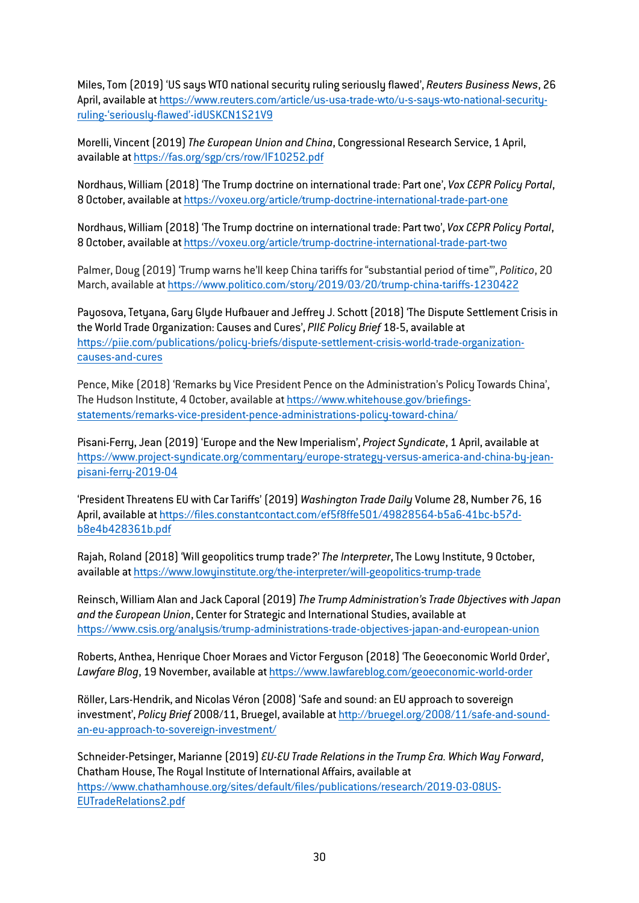Miles, Tom (2019) 'US says WTO national security ruling seriously flawed', *Reuters Business News*, 26 April, available a[t https://www.reuters.com/article/us-usa-trade-wto/u-s-says-wto-national-security](https://www.reuters.com/article/us-usa-trade-wto/u-s-says-wto-national-security-ruling-)[ruling-'seriously-flawed'-idUSKCN1S21V9](https://www.reuters.com/article/us-usa-trade-wto/u-s-says-wto-national-security-ruling-)

Morelli, Vincent (2019)*The European Union and China*, Congressional Research Service, 1 April, available a[t https://fas.org/sgp/crs/row/IF10252.pdf](https://fas.org/sgp/crs/row/IF10252.pdf)

Nordhaus, William (2018) 'The Trump doctrine on international trade: Part one', *Vox CEPR Policy Portal*, 8 October, available a[t https://voxeu.org/article/trump-doctrine-international-trade-part-one](https://voxeu.org/article/trump-doctrine-international-trade-part-one)

Nordhaus, William (2018) 'The Trump doctrine on international trade: Part two', *Vox CEPR Policy Portal*, 8 October, available a[t https://voxeu.org/article/trump-doctrine-international-trade-part-two](https://voxeu.org/article/trump-doctrine-international-trade-part-two)

Palmer, Doug (2019) 'Trump warns he'll keep China tariffs for "substantial period of time"', *Politico*, 20 March, available a[t https://www.politico.com/story/2019/03/20/trump-china-tariffs-1230422](https://www.politico.com/story/2019/03/20/trump-china-tariffs-1230422)

Payosova, Tetyana, Gary Glyde Hufbauer and Jeffrey J. Schott (2018) 'The Dispute Settlement Crisis in the World Trade Organization: Causes and Cures', *PIIE Policy Brief* 18-5, available at [https://piie.com/publications/policy-briefs/dispute-settlement-crisis-world-trade-organization](https://piie.com/publications/policy-briefs/dispute-settlement-crisis-world-trade-organization-causes-and-cures)[causes-and-cures](https://piie.com/publications/policy-briefs/dispute-settlement-crisis-world-trade-organization-causes-and-cures)

Pence, Mike (2018) 'Remarks by Vice President Pence on the Administration's Policy Towards China', The Hudson Institute, 4 October, available a[t https://www.whitehouse.gov/briefings](https://www.whitehouse.gov/briefings-statements/remarks-vice-president-pence-administrations-policy-toward-china/)[statements/remarks-vice-president-pence-administrations-policy-toward-china/](https://www.whitehouse.gov/briefings-statements/remarks-vice-president-pence-administrations-policy-toward-china/)

Pisani-Ferry, Jean (2019) 'Europe and the New Imperialism', *Project Syndicate*, 1 April, available at [https://www.project-syndicate.org/commentary/europe-strategy-versus-america-and-china-by-jean](https://www.project-syndicate.org/commentary/europe-strategy-versus-america-and-china-by-jean-pisani-ferry-2019-04)[pisani-ferry-2019-04](https://www.project-syndicate.org/commentary/europe-strategy-versus-america-and-china-by-jean-pisani-ferry-2019-04)

'President Threatens EU with Car Tariffs' (2019) *Washington Trade Daily* Volume 28, Number 76, 16 April, available a[t https://files.constantcontact.com/ef5f8ffe501/49828564-b5a6-41bc-b57d](https://files.constantcontact.com/ef5f8ffe501/49828564-b5a6-41bc-b57d-b8e4b428361b.pdf)[b8e4b428361b.pdf](https://files.constantcontact.com/ef5f8ffe501/49828564-b5a6-41bc-b57d-b8e4b428361b.pdf)

Rajah, Roland (2018) 'Will geopolitics trump trade?'*The Interpreter*,The Lowy Institute, 9 October, available a[t https://www.lowyinstitute.org/the-interpreter/will-geopolitics-trump-trade](https://www.lowyinstitute.org/the-interpreter/will-geopolitics-trump-trade)

Reinsch, William Alan and Jack Caporal (2019)*The Trump Administration's Trade Objectives with Japan and the European Union*, Center for Strategic and International Studies, available at <https://www.csis.org/analysis/trump-administrations-trade-objectives-japan-and-european-union>

Roberts, Anthea, Henrique Choer Moraes and Victor Ferguson (2018) 'The Geoeconomic World Order', *Lawfare Blog*, 19 November, available at<https://www.lawfareblog.com/geoeconomic-world-order>

Röller, Lars-Hendrik, and Nicolas Véron (2008) 'Safe and sound: an EU approach to sovereign investment', *Policy Brief* 2008/11, Bruegel, available a[t http://bruegel.org/2008/11/safe-and-sound](http://bruegel.org/2008/11/safe-and-sound-an-eu-approach-to-sovereign-investment/)[an-eu-approach-to-sovereign-investment/](http://bruegel.org/2008/11/safe-and-sound-an-eu-approach-to-sovereign-investment/)

Schneider-Petsinger, Marianne (2019) *EU-EU Trade Relations in the Trump Era. Which Way Forward*, Chatham House,The Royal Institute of International Affairs, available at [https://www.chathamhouse.org/sites/default/files/publications/research/2019-03-08US-](https://www.chathamhouse.org/sites/default/files/publications/research/2019-03-08US-EUTradeRelations2.pdf)[EUTradeRelations2.pdf](https://www.chathamhouse.org/sites/default/files/publications/research/2019-03-08US-EUTradeRelations2.pdf)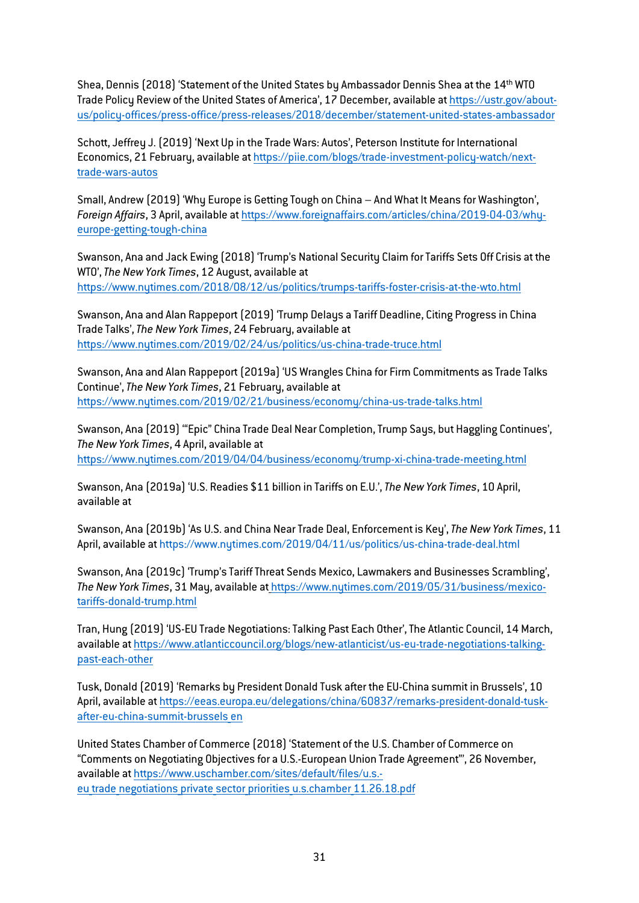Shea, Dennis (2018) 'Statement of the United States by Ambassador Dennis Shea at the 14<sup>th</sup> WTO Trade Policy Review of the United States of America', 17 December, available at [https://ustr.gov/about](https://ustr.gov/about-us/policy-offices/press-office/press-releases/2018/december/statement-united-states-ambassador)[us/policy-offices/press-office/press-releases/2018/december/statement-united-states-ambassador](https://ustr.gov/about-us/policy-offices/press-office/press-releases/2018/december/statement-united-states-ambassador)

Schott, Jeffrey J. (2019) 'Next Up in the Trade Wars: Autos', Peterson Institute for International Economics, 21 February, available at [https://piie.com/blogs/trade-investment-policy-watch/next](https://piie.com/blogs/trade-investment-policy-watch/next-trade-wars-autos)[trade-wars-autos](https://piie.com/blogs/trade-investment-policy-watch/next-trade-wars-autos)

Small, Andrew (2019) 'Why Europe is Getting Tough on China – And What It Means for Washington', *Foreign Affairs*, 3 April, available at [https://www.foreignaffairs.com/articles/china/2019-04-03/why](https://www.foreignaffairs.com/articles/china/2019-04-03/why-europe-getting-tough-china?utm_medium=newsletters&utm_source=fatoday&utm_content=20190409&utm_campaign=FA%20Today%20040919%20Saving%20Northeastern%20Syria%2C%20Netanyahu%27s%20Foreign%20Policy%2C%20Europe%27s%20New%20Approach%20to%20China&utm_term=FA%20Today%20-%20112017)[europe-getting-tough-china](https://www.foreignaffairs.com/articles/china/2019-04-03/why-europe-getting-tough-china?utm_medium=newsletters&utm_source=fatoday&utm_content=20190409&utm_campaign=FA%20Today%20040919%20Saving%20Northeastern%20Syria%2C%20Netanyahu%27s%20Foreign%20Policy%2C%20Europe%27s%20New%20Approach%20to%20China&utm_term=FA%20Today%20-%20112017)

Swanson, Ana and Jack Ewing (2018) 'Trump's National Security Claim for Tariffs Sets Off Crisis at the WTO',*The New York Times*, 12 August, available at <https://www.nytimes.com/2018/08/12/us/politics/trumps-tariffs-foster-crisis-at-the-wto.html>

Swanson, Ana and Alan Rappeport (2019) 'Trump Delays a Tariff Deadline, Citing Progress in China Trade Talks',*The New York Times*, 24 February, available at <https://www.nytimes.com/2019/02/24/us/politics/us-china-trade-truce.html>

Swanson, Ana and Alan Rappeport (2019a) 'US Wrangles China for Firm Commitments as Trade Talks Continue',*The New York Times*, 21 February, available at <https://www.nytimes.com/2019/02/21/business/economy/china-us-trade-talks.html>

Swanson, Ana (2019) '"Epic" China Trade Deal Near Completion, Trump Says, but Haggling Continues', *The New York Times*, 4 April, available at <https://www.nytimes.com/2019/04/04/business/economy/trump-xi-china-trade-meeting.html>

Swanson, Ana (2019a) 'U.S. Readies \$11 billion in Tariffs on E.U.',*The New York Times*, 10 April, available at

Swanson, Ana (2019b) 'As U.S. and China Near Trade Deal, Enforcement is Key',*The New York Times*, 11 April, available a[t https://www.nytimes.com/2019/04/11/us/politics/us-china-trade-deal.html](https://www.nytimes.com/2019/04/11/us/politics/us-china-trade-deal.html)

Swanson, Ana (2019c) 'Trump's Tariff Threat Sends Mexico, Lawmakers and Businesses Scrambling', *The New York Times*, 31 May, available at https://www.nytimes.com/2019/05/31/business/mexicotariffs-donald-trump.html

Tran, Hung (2019) 'US-EU Trade Negotiations: Talking Past Each Other',The Atlantic Council, 14 March, available a[t https://www.atlanticcouncil.org/blogs/new-atlanticist/us-eu-trade-negotiations-talking](https://www.atlanticcouncil.org/blogs/new-atlanticist/us-eu-trade-negotiations-talking-past-each-other)[past-each-other](https://www.atlanticcouncil.org/blogs/new-atlanticist/us-eu-trade-negotiations-talking-past-each-other)

Tusk, Donald (2019) 'Remarks by President Donald Tusk after the EU-China summit in Brussels', 10 April, available a[t https://eeas.europa.eu/delegations/china/60837/remarks-president-donald-tusk](https://eeas.europa.eu/delegations/china/60837/remarks-president-donald-tusk-after-eu-china-summit-brussels_en)[after-eu-china-summit-brussels\\_en](https://eeas.europa.eu/delegations/china/60837/remarks-president-donald-tusk-after-eu-china-summit-brussels_en)

United States Chamber of Commerce (2018) 'Statement of the U.S. Chamber of Commerce on "Comments on Negotiating Objectives for a U.S.-European Union Trade Agreement"', 26 November, available a[t https://www.uschamber.com/sites/default/files/u.s.](https://www.uschamber.com/sites/default/files/u.s.-eu_trade_negotiations_private_sector_priorities_u.s.chamber_11.26.18.pdf) eu trade negotiations private sector priorities u.s.chamber 11.26.18.pdf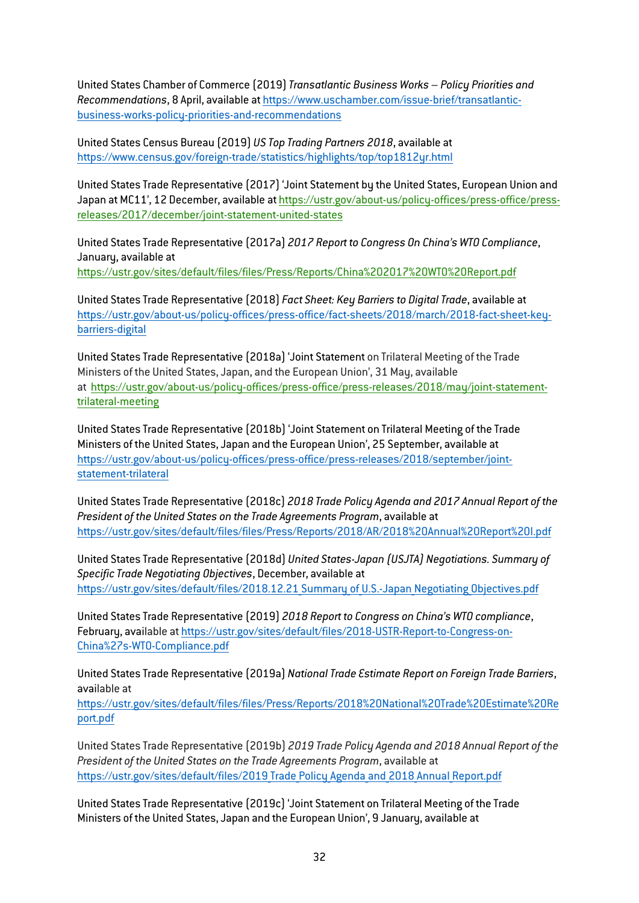United States Chamber of Commerce (2019)*Transatlantic Business Works – Policy Priorities and Recommendations*, 8 April, available at [https://www.uschamber.com/issue-brief/transatlantic](https://www.uschamber.com/issue-brief/transatlantic-business-works-policy-priorities-and-recommendations)[business-works-policy-priorities-and-recommendations](https://www.uschamber.com/issue-brief/transatlantic-business-works-policy-priorities-and-recommendations)

United States Census Bureau (2019) *US Top Trading Partners 2018*, available at <https://www.census.gov/foreign-trade/statistics/highlights/top/top1812yr.html>

United States Trade Representative (2017) 'Joint Statement by the United States, European Union and Japan at MC11', 12 December, available at [https://ustr.gov/about-us/policy-offices/press-office/press](https://ustr.gov/about-us/policy-offices/press-office/press-releases/2017/december/joint-statement-united-states)[releases/2017/december/joint-statement-united-states](https://ustr.gov/about-us/policy-offices/press-office/press-releases/2017/december/joint-statement-united-states)

United States Trade Representative (2017a) *2017 Report to Congress On China's WTO Compliance*, January, available at https://ustr.gov/sites/default/files/files/Press/Reports/China%202017%20WTO%20Report.pdf

United States Trade Representative (2018) *Fact Sheet: Key Barriers to Digital Trade*, available at [https://ustr.gov/about-us/policy-offices/press-office/fact-sheets/2018/march/2018-fact-sheet-key](https://ustr.gov/about-us/policy-offices/press-office/fact-sheets/2018/march/2018-fact-sheet-key-barriers-digital)[barriers-digital](https://ustr.gov/about-us/policy-offices/press-office/fact-sheets/2018/march/2018-fact-sheet-key-barriers-digital)

United States Trade Representative (2018a) 'Joint Statement on Trilateral Meeting of the Trade Ministers of the United States, Japan, and the European Union', 31 May, available at [https://ustr.gov/about-us/policy-offices/press-office/press-releases/2018/may/joint-statement](https://ustr.gov/about-us/policy-offices/press-office/press-releases/2018/may/joint-statement-trilateral-meeting)[trilateral-meeting](https://ustr.gov/about-us/policy-offices/press-office/press-releases/2018/may/joint-statement-trilateral-meeting)

United States Trade Representative (2018b) 'Joint Statement on Trilateral Meeting of the Trade Ministers of the United States, Japan and the European Union', 25 September, available at [https://ustr.gov/about-us/policy-offices/press-office/press-releases/2018/september/joint](https://ustr.gov/about-us/policy-offices/press-office/press-releases/2018/september/joint-statement-trilateral)[statement-trilateral](https://ustr.gov/about-us/policy-offices/press-office/press-releases/2018/september/joint-statement-trilateral)

United States Trade Representative (2018c) *2018 Trade Policy Agenda and 2017 Annual Report of the President of the United States on the Trade Agreements Program*, available at <https://ustr.gov/sites/default/files/files/Press/Reports/2018/AR/2018%20Annual%20Report%20I.pdf>

United States Trade Representative (2018d) *United States-Japan (USJTA) Negotiations. Summary of Specific Trade Negotiating Objectives*, December, available at https://ustr.gov/sites/default/files/2018.12.21 Summary of U.S.-Japan Negotiating Objectives.pdf

United States Trade Representative (2019) *2018 Report to Congress on China's WTO compliance*, February, available at [https://ustr.gov/sites/default/files/2018-USTR-Report-to-Congress-on-](https://ustr.gov/sites/default/files/2018-USTR-Report-to-Congress-on-China%27s-WTO-Compliance.pdf)[China%27s-WTO-Compliance.pdf](https://ustr.gov/sites/default/files/2018-USTR-Report-to-Congress-on-China%27s-WTO-Compliance.pdf)

United States Trade Representative (2019a) *National Trade Estimate Report on Foreign Trade Barriers*, available at

[https://ustr.gov/sites/default/files/files/Press/Reports/2018%20National%20Trade%20Estimate%20Re](https://ustr.gov/sites/default/files/files/Press/Reports/2018%20National%20Trade%20Estimate%20Report.pdf) [port.pdf](https://ustr.gov/sites/default/files/files/Press/Reports/2018%20National%20Trade%20Estimate%20Report.pdf)

United States Trade Representative (2019b) *2019 Trade Policy Agenda and 2018 Annual Report of the President of the United States on the Trade Agreements Program*, available at https://ustr.gov/sites/default/files/2019 Trade Policy Agenda and 2018 Annual Report.pdf

United States Trade Representative (2019c) 'Joint Statement on Trilateral Meeting of the Trade Ministers of the United States, Japan and the European Union', 9 January, available at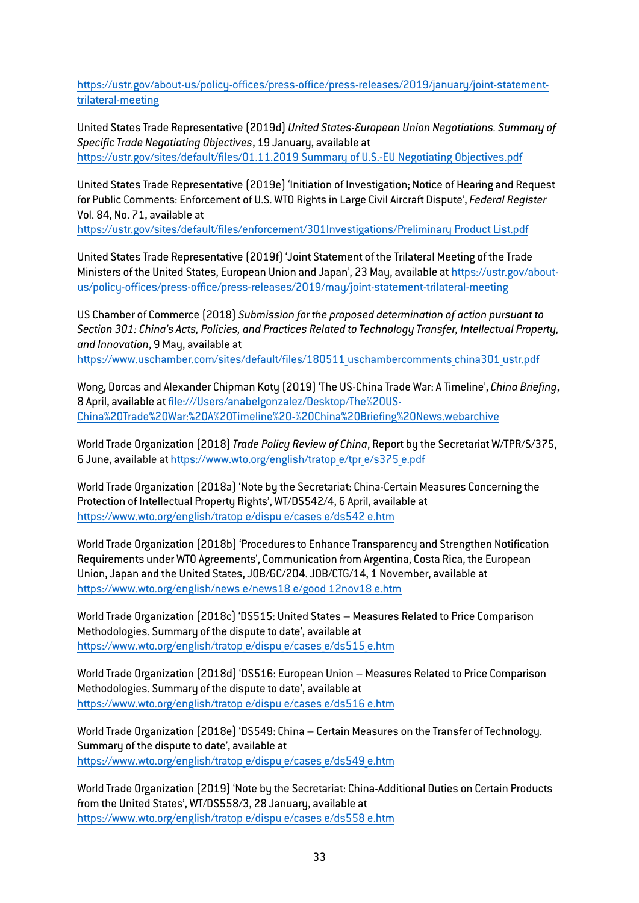[https://ustr.gov/about-us/policy-offices/press-office/press-releases/2019/january/joint-statement](https://ustr.gov/about-us/policy-offices/press-office/press-releases/2019/january/joint-statement-trilateral-meeting)[trilateral-meeting](https://ustr.gov/about-us/policy-offices/press-office/press-releases/2019/january/joint-statement-trilateral-meeting)

United States Trade Representative (2019d) *United States-European Union Negotiations. Summary of Specific Trade Negotiating Objectives*, 19 January, available at https://ustr.gov/sites/default/files/01.11.2019 Summary of U.S.-EU Negotiating Objectives.pdf

United States Trade Representative (2019e) 'Initiation of Investigation; Notice of Hearing and Request for Public Comments: Enforcement of U.S. WTO Rights in Large Civil Aircraft Dispute', *Federal Register* Vol. 84, No. 71, available at

https://ustr.gov/sites/default/files/enforcement/301Investigations/Preliminary Product List.pdf

United States Trade Representative (2019f) 'Joint Statement of the Trilateral Meeting of the Trade Ministers of the United States, European Union and Japan', 23 May, available at [https://ustr.gov/about](https://ustr.gov/about-us/policy-offices/press-office/press-releases/2019/may/joint-statement-trilateral-meeting)[us/policy-offices/press-office/press-releases/2019/may/joint-statement-trilateral-meeting](https://ustr.gov/about-us/policy-offices/press-office/press-releases/2019/may/joint-statement-trilateral-meeting)

US Chamber of Commerce (2018) *Submission for the proposed determination of action pursuant to Section 301: China's Acts, Policies, and Practices Related to Technology Transfer, Intellectual Property, and Innovation*, 9 May, available at https://www.uschamber.com/sites/default/files/180511 uschambercomments china301 ustr.pdf

Wong, Dorcas and Alexander Chipman Koty (2019) 'The US-China Trade War: A Timeline', *China Briefing*, 8 April, available at file:///Users/anabelgonzalez/Desktop/The%20US-China%20Trade%20War:%20A%20Timeline%20-%20China%20Briefing%20News.webarchive

World Trade Organization (2018)*Trade Policy Review of China*, Report by the Secretariat W/TPR/S/375, 6 June, available at [https://www.wto.org/english/tratop\\_e/tpr\\_e/s375\\_e.pdf](https://www.wto.org/english/tratop_e/tpr_e/s375_e.pdf)

World Trade Organization (2018a) 'Note by the Secretariat: China-Certain Measures Concerning the Protection of Intellectual Property Rights', WT/DS542/4, 6 April, available at [https://www.wto.org/english/tratop\\_e/dispu\\_e/cases\\_e/ds542\\_e.htm](https://www.wto.org/english/tratop_e/dispu_e/cases_e/ds542_e.htm)

World Trade Organization (2018b) 'Procedures to Enhance Transparency and Strengthen Notification Requirements under WTO Agreements', Communication from Argentina, Costa Rica, the European Union, Japan and the United States, JOB/GC/204. JOB/CTG/14, 1 November, available at [https://www.wto.org/english/news\\_e/news18\\_e/good\\_12nov18\\_e.htm](https://www.wto.org/english/news_e/news18_e/good_12nov18_e.htm)

World Trade Organization (2018c) 'DS515: United States – Measures Related to Price Comparison Methodologies. Summary of the dispute to date', available at [https://www.wto.org/english/tratop\\_e/dispu\\_e/cases\\_e/ds515\\_e.htm](https://www.wto.org/english/tratop_e/dispu_e/cases_e/ds515_e.htm)

World Trade Organization (2018d) 'DS516: European Union – Measures Related to Price Comparison Methodologies. Summary of the dispute to date', available at [https://www.wto.org/english/tratop\\_e/dispu\\_e/cases\\_e/ds516\\_e.htm](https://www.wto.org/english/tratop_e/dispu_e/cases_e/ds516_e.htm)

World Trade Organization (2018e) 'DS549: China – Certain Measures on the Transfer of Technology. Summary of the dispute to date', available at [https://www.wto.org/english/tratop\\_e/dispu\\_e/cases\\_e/ds549\\_e.htm](https://www.wto.org/english/tratop_e/dispu_e/cases_e/ds549_e.htm)

World Trade Organization (2019) 'Note by the Secretariat: China-Additional Duties on Certain Products from the United States', WT/DS558/3, 28 January, available at [https://www.wto.org/english/tratop\\_e/dispu\\_e/cases\\_e/ds558\\_e.htm](https://www.wto.org/english/tratop_e/dispu_e/cases_e/ds558_e.htm)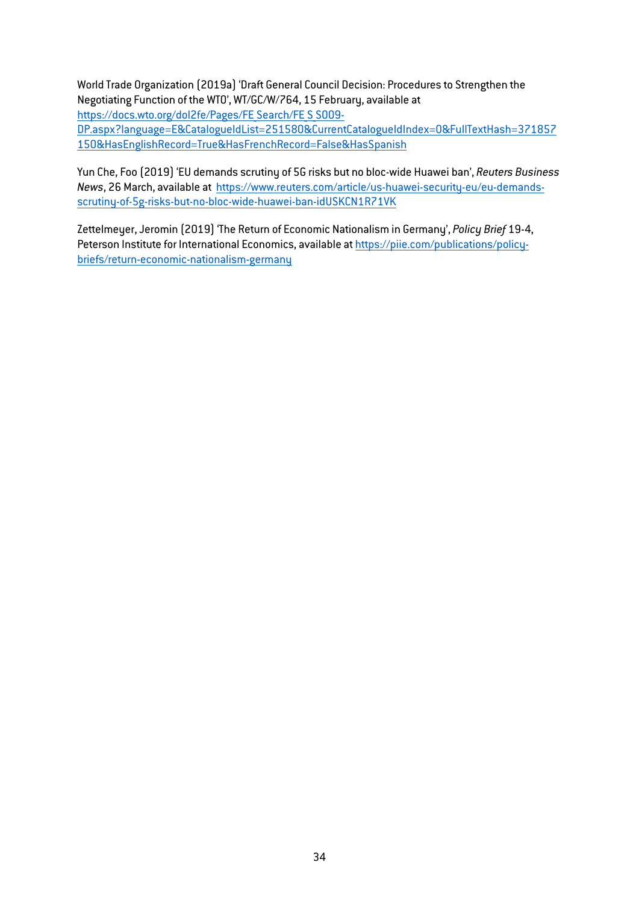World Trade Organization (2019a) 'Draft General Council Decision: Procedures to Strengthen the Negotiating Function of the WTO', WT/GC/W/764, 15 February, available at https://docs.wto.org/dol2fe/Pages/FE Search/FE S S009-[DP.aspx?language=E&CatalogueIdList=251580&CurrentCatalogueIdIndex=0&FullTextHash=371857](https://docs.wto.org/dol2fe/Pages/FE_Search/FE_S_S009-DP.aspx?language=E&CatalogueIdList=251580&CurrentCatalogueIdIndex=0&FullTextHash=371857150&HasEnglishRecord=True&HasFrenchRecord=False&HasSpanish) [150&HasEnglishRecord=True&HasFrenchRecord=False&HasSpanish](https://docs.wto.org/dol2fe/Pages/FE_Search/FE_S_S009-DP.aspx?language=E&CatalogueIdList=251580&CurrentCatalogueIdIndex=0&FullTextHash=371857150&HasEnglishRecord=True&HasFrenchRecord=False&HasSpanish)

Yun Che, Foo (2019) 'EU demands scrutiny of 5G risks but no bloc-wide Huawei ban', *Reuters Business News*, 26 March, available at [https://www.reuters.com/article/us-huawei-security-eu/eu-demands](https://www.reuters.com/article/us-huawei-security-eu/eu-demands-scrutiny-of-5g-risks-but-no-bloc-wide-huawei-ban-idUSKCN1R71VK)[scrutiny-of-5g-risks-but-no-bloc-wide-huawei-ban-idUSKCN1R71VK](https://www.reuters.com/article/us-huawei-security-eu/eu-demands-scrutiny-of-5g-risks-but-no-bloc-wide-huawei-ban-idUSKCN1R71VK)

Zettelmeyer, Jeromin (2019) 'The Return of Economic Nationalism in Germany', *Policy Brief* 19-4, Peterson Institute for International Economics, available at [https://piie.com/publications/policy](https://piie.com/publications/policy-briefs/return-economic-nationalism-germany)[briefs/return-economic-nationalism-germany](https://piie.com/publications/policy-briefs/return-economic-nationalism-germany)